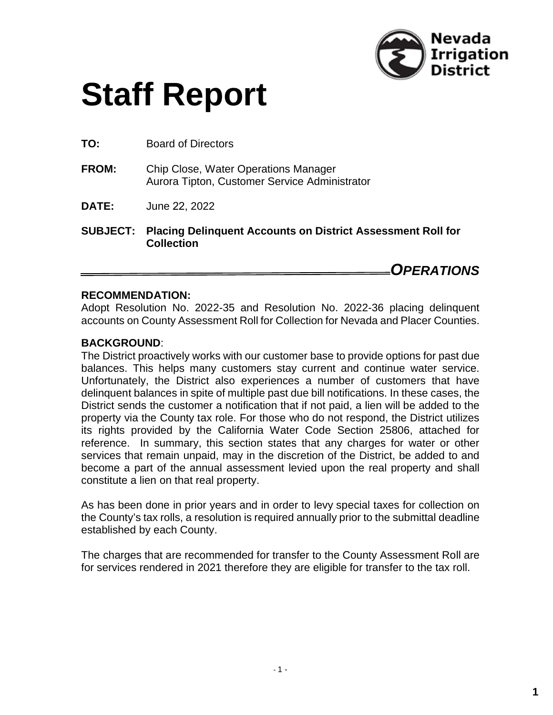

# **Staff Report**

**TO:** Board of Directors

- **FROM:** Chip Close, Water Operations Manager Aurora Tipton, Customer Service Administrator
- **DATE:** June 22, 2022
- **SUBJECT: Placing Delinquent Accounts on District Assessment Roll for Collection**

*OPERATIONS*

#### **RECOMMENDATION:**

Adopt Resolution No. 2022-35 and Resolution No. 2022-36 placing delinquent accounts on County Assessment Roll for Collection for Nevada and Placer Counties.

#### **BACKGROUND**:

The District proactively works with our customer base to provide options for past due balances. This helps many customers stay current and continue water service. Unfortunately, the District also experiences a number of customers that have delinquent balances in spite of multiple past due bill notifications. In these cases, the District sends the customer a notification that if not paid, a lien will be added to the property via the County tax role. For those who do not respond, the District utilizes its rights provided by the California Water Code Section 25806, attached for reference. In summary, this section states that any charges for water or other services that remain unpaid, may in the discretion of the District, be added to and become a part of the annual assessment levied upon the real property and shall constitute a lien on that real property.

As has been done in prior years and in order to levy special taxes for collection on the County's tax rolls, a resolution is required annually prior to the submittal deadline established by each County.

The charges that are recommended for transfer to the County Assessment Roll are for services rendered in 2021 therefore they are eligible for transfer to the tax roll.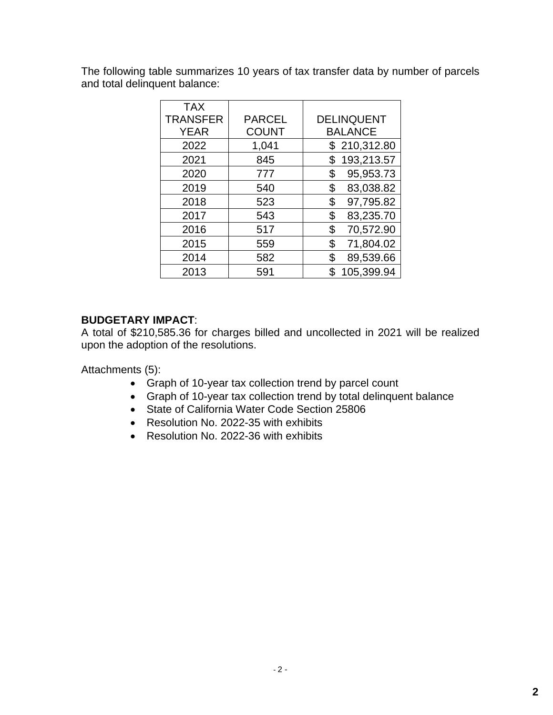The following table summarizes 10 years of tax transfer data by number of parcels and total delinquent balance:

| <b>TAX</b>      |               |                   |
|-----------------|---------------|-------------------|
| <b>TRANSFER</b> | <b>PARCEL</b> | <b>DELINQUENT</b> |
| <b>YEAR</b>     | <b>COUNT</b>  | <b>BALANCE</b>    |
| 2022            | 1,041         | \$210,312.80      |
| 2021            | 845           | 193,213.57<br>\$  |
| 2020            | 777           | 95,953.73<br>\$   |
| 2019            | 540           | 83,038.82<br>\$   |
| 2018            | 523           | 97,795.82<br>\$   |
| 2017            | 543           | 83,235.70<br>\$   |
| 2016            | 517           | 70,572.90<br>\$   |
| 2015            | 559           | 71,804.02<br>\$   |
| 2014            | 582           | 89,539.66<br>\$   |
| 2013            | 591           | 105,399.94        |

### **BUDGETARY IMPACT**:

A total of \$210,585.36 for charges billed and uncollected in 2021 will be realized upon the adoption of the resolutions.

Attachments (5):

- Graph of 10-year tax collection trend by parcel count
- Graph of 10-year tax collection trend by total delinquent balance
- State of California Water Code Section 25806
- Resolution No. 2022-35 with exhibits
- Resolution No. 2022-36 with exhibits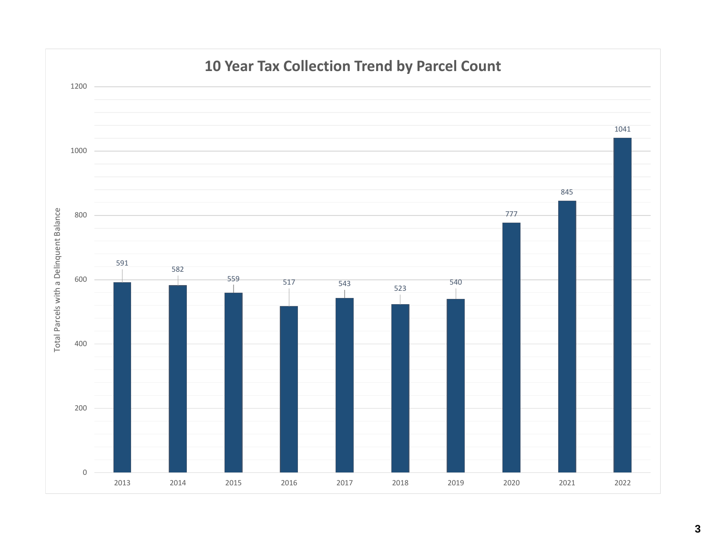

### **10 Year Tax Collection Trend by Parcel Count**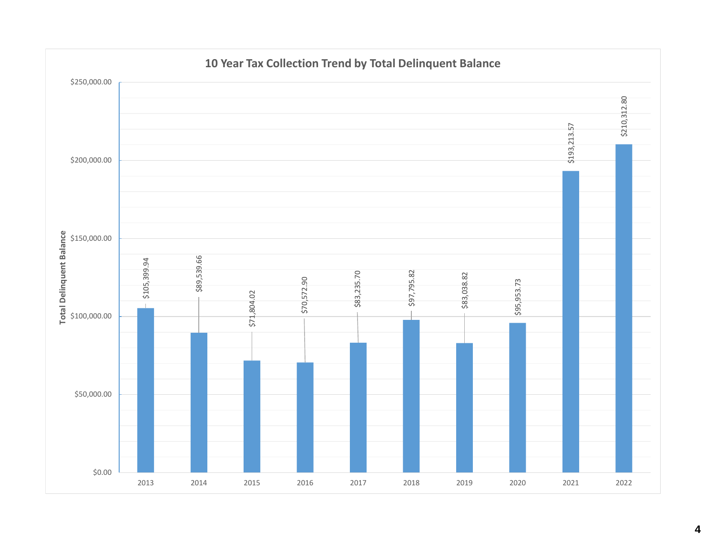

#### **4**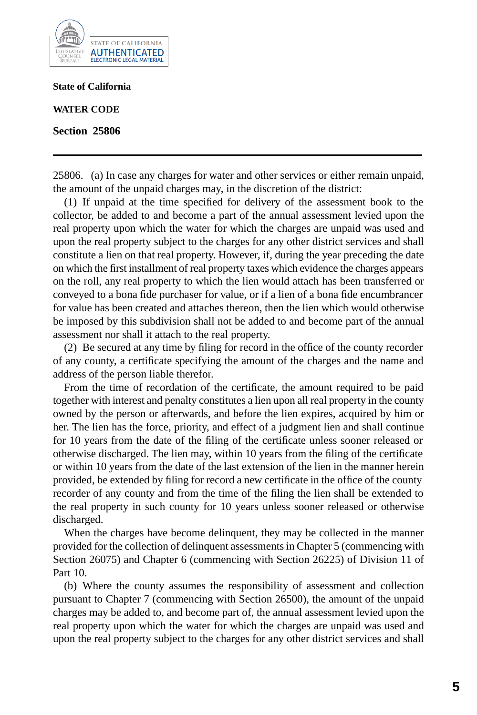

**State of California**

**WATER CODE**

**Section 25806**

25806. (a) In case any charges for water and other services or either remain unpaid, the amount of the unpaid charges may, in the discretion of the district:

(1) If unpaid at the time specified for delivery of the assessment book to the collector, be added to and become a part of the annual assessment levied upon the real property upon which the water for which the charges are unpaid was used and upon the real property subject to the charges for any other district services and shall constitute a lien on that real property. However, if, during the year preceding the date on which the first installment of real property taxes which evidence the charges appears on the roll, any real property to which the lien would attach has been transferred or conveyed to a bona fide purchaser for value, or if a lien of a bona fide encumbrancer for value has been created and attaches thereon, then the lien which would otherwise be imposed by this subdivision shall not be added to and become part of the annual assessment nor shall it attach to the real property.

(2) Be secured at any time by filing for record in the office of the county recorder of any county, a certificate specifying the amount of the charges and the name and address of the person liable therefor.

From the time of recordation of the certificate, the amount required to be paid together with interest and penalty constitutes a lien upon all real property in the county owned by the person or afterwards, and before the lien expires, acquired by him or her. The lien has the force, priority, and effect of a judgment lien and shall continue for 10 years from the date of the filing of the certificate unless sooner released or otherwise discharged. The lien may, within 10 years from the filing of the certificate or within 10 years from the date of the last extension of the lien in the manner herein provided, be extended by filing for record a new certificate in the office of the county recorder of any county and from the time of the filing the lien shall be extended to the real property in such county for 10 years unless sooner released or otherwise discharged.

When the charges have become delinquent, they may be collected in the manner provided for the collection of delinquent assessments in Chapter 5 (commencing with Section 26075) and Chapter 6 (commencing with Section 26225) of Division 11 of Part 10.

(b) Where the county assumes the responsibility of assessment and collection pursuant to Chapter 7 (commencing with Section 26500), the amount of the unpaid charges may be added to, and become part of, the annual assessment levied upon the real property upon which the water for which the charges are unpaid was used and upon the real property subject to the charges for any other district services and shall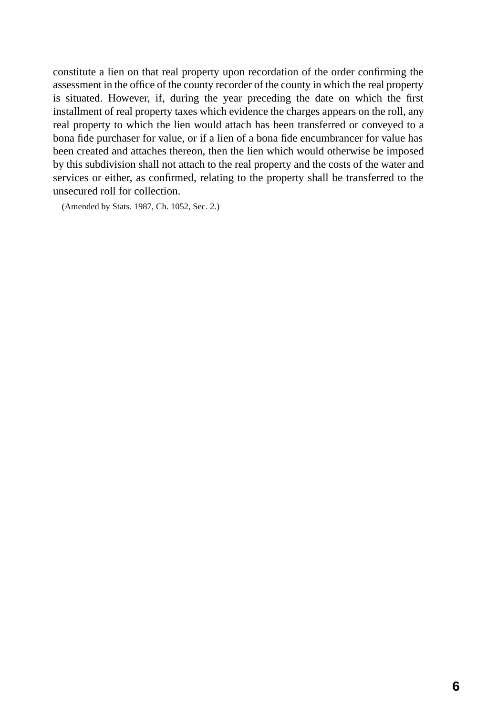constitute a lien on that real property upon recordation of the order confirming the assessment in the office of the county recorder of the county in which the real property is situated. However, if, during the year preceding the date on which the first installment of real property taxes which evidence the charges appears on the roll, any real property to which the lien would attach has been transferred or conveyed to a bona fide purchaser for value, or if a lien of a bona fide encumbrancer for value has been created and attaches thereon, then the lien which would otherwise be imposed by this subdivision shall not attach to the real property and the costs of the water and services or either, as confirmed, relating to the property shall be transferred to the unsecured roll for collection.

(Amended by Stats. 1987, Ch. 1052, Sec. 2.)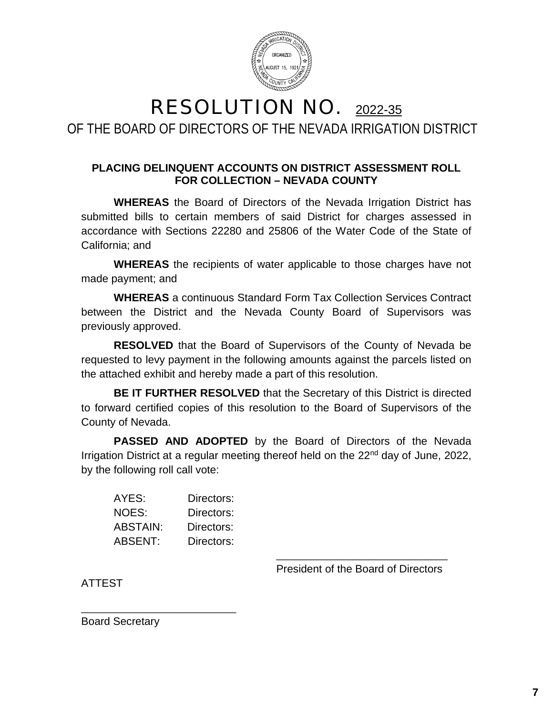

### RESOLUTION NO. 2022-35 OF THE BOARD OF DIRECTORS OF THE NEVADA IRRIGATION DISTRICT

### **PLACING DELINQUENT ACCOUNTS ON DISTRICT ASSESSMENT ROLL FOR COLLECTION – NEVADA COUNTY**

**WHEREAS** the Board of Directors of the Nevada Irrigation District has submitted bills to certain members of said District for charges assessed in accordance with Sections 22280 and 25806 of the Water Code of the State of California; and

**WHEREAS** the recipients of water applicable to those charges have not made payment; and

**WHEREAS** a continuous Standard Form Tax Collection Services Contract between the District and the Nevada County Board of Supervisors was previously approved.

**RESOLVED** that the Board of Supervisors of the County of Nevada be requested to levy payment in the following amounts against the parcels listed on the attached exhibit and hereby made a part of this resolution.

**BE IT FURTHER RESOLVED** that the Secretary of this District is directed to forward certified copies of this resolution to the Board of Supervisors of the County of Nevada.

**PASSED AND ADOPTED** by the Board of Directors of the Nevada Irrigation District at a regular meeting thereof held on the 22<sup>nd</sup> day of June, 2022, by the following roll call vote:

| AYES:    | Directors: |
|----------|------------|
| NOES:    | Directors: |
| ABSTAIN: | Directors: |
| ABSENT:  | Directors: |

\_\_\_\_\_\_\_\_\_\_\_\_\_\_\_\_\_\_\_\_\_\_\_\_\_\_\_\_

\_\_\_\_\_\_\_\_\_\_\_\_\_\_\_\_\_\_\_\_\_\_\_\_\_\_\_\_\_\_\_ President of the Board of Directors

ATTEST

Board Secretary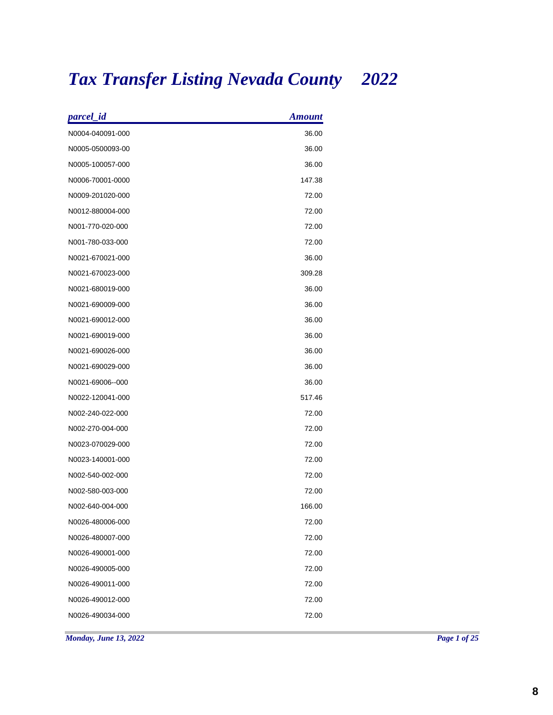# *Tax Transfer Listing Nevada County 2022*

| parcel_id        | <b>Amount</b> |
|------------------|---------------|
| N0004-040091-000 | 36.00         |
| N0005-0500093-00 | 36.00         |
| N0005-100057-000 | 36.00         |
| N0006-70001-0000 | 147.38        |
| N0009-201020-000 | 72.00         |
| N0012-880004-000 | 72.00         |
| N001-770-020-000 | 72.00         |
| N001-780-033-000 | 72.00         |
| N0021-670021-000 | 36.00         |
| N0021-670023-000 | 309.28        |
| N0021-680019-000 | 36.00         |
| N0021-690009-000 | 36.00         |
| N0021-690012-000 | 36.00         |
| N0021-690019-000 | 36.00         |
| N0021-690026-000 | 36.00         |
| N0021-690029-000 | 36.00         |
| N0021-69006--000 | 36.00         |
| N0022-120041-000 | 517.46        |
| N002-240-022-000 | 72.00         |
| N002-270-004-000 | 72.00         |
| N0023-070029-000 | 72.00         |
| N0023-140001-000 | 72.00         |
| N002-540-002-000 | 72.00         |
| N002-580-003-000 | 72.00         |
| N002-640-004-000 | 166.00        |
| N0026-480006-000 | 72.00         |
| N0026-480007-000 | 72.00         |
| N0026-490001-000 | 72.00         |
| N0026-490005-000 | 72.00         |
| N0026-490011-000 | 72.00         |
| N0026-490012-000 | 72.00         |
| N0026-490034-000 | 72.00         |
|                  |               |

*Monday, June 13, 2022 Page 1 of 25*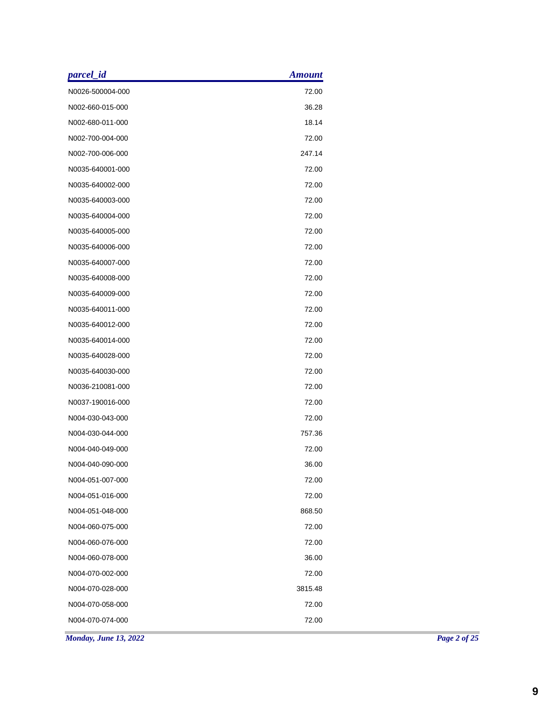| parcel_id        | <b>Amount</b> |  |
|------------------|---------------|--|
| N0026-500004-000 | 72.00         |  |
| N002-660-015-000 | 36.28         |  |
| N002-680-011-000 | 18.14         |  |
| N002-700-004-000 | 72.00         |  |
| N002-700-006-000 | 247.14        |  |
| N0035-640001-000 | 72.00         |  |
| N0035-640002-000 | 72.00         |  |
| N0035-640003-000 | 72.00         |  |
| N0035-640004-000 | 72.00         |  |
| N0035-640005-000 | 72.00         |  |
| N0035-640006-000 | 72.00         |  |
| N0035-640007-000 | 72.00         |  |
| N0035-640008-000 | 72.00         |  |
| N0035-640009-000 | 72.00         |  |
| N0035-640011-000 | 72.00         |  |
| N0035-640012-000 | 72.00         |  |
| N0035-640014-000 | 72.00         |  |
| N0035-640028-000 | 72.00         |  |
| N0035-640030-000 | 72.00         |  |
| N0036-210081-000 | 72.00         |  |
| N0037-190016-000 | 72.00         |  |
| N004-030-043-000 | 72.00         |  |
| N004-030-044-000 | 757.36        |  |
| N004-040-049-000 | 72.00         |  |
| N004-040-090-000 | 36.00         |  |
| N004-051-007-000 | 72.00         |  |
| N004-051-016-000 | 72.00         |  |
| N004-051-048-000 | 868.50        |  |
| N004-060-075-000 | 72.00         |  |
| N004-060-076-000 | 72.00         |  |
| N004-060-078-000 | 36.00         |  |
| N004-070-002-000 | 72.00         |  |
| N004-070-028-000 | 3815.48       |  |
| N004-070-058-000 | 72.00         |  |
| N004-070-074-000 | 72.00         |  |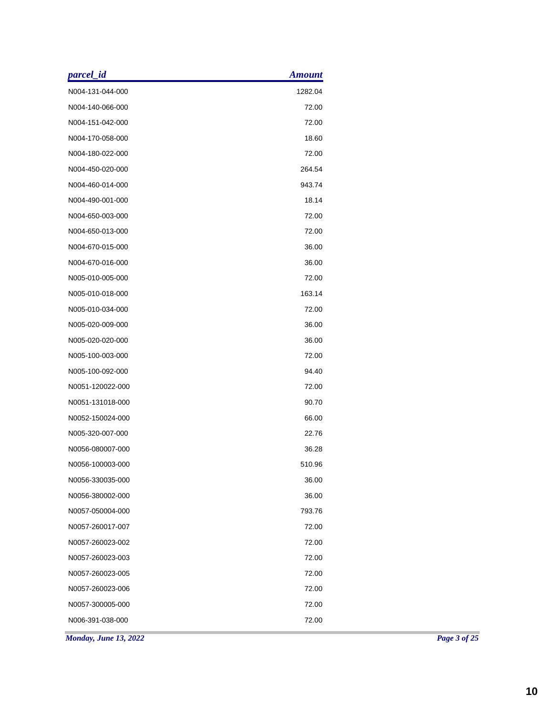| <i>parcel_id</i>             | <b>Amount</b> |
|------------------------------|---------------|
| N004-131-044-000             | 1282.04       |
| N004-140-066-000             | 72.00         |
| N004-151-042-000             | 72.00         |
| N004-170-058-000             | 18.60         |
| N004-180-022-000             | 72.00         |
| N004-450-020-000             | 264.54        |
| N004-460-014-000             | 943.74        |
| N004-490-001-000             | 18.14         |
| N004-650-003-000             | 72.00         |
| N004-650-013-000             | 72.00         |
| N004-670-015-000             | 36.00         |
| N004-670-016-000             | 36.00         |
| N005-010-005-000             | 72.00         |
| N005-010-018-000             | 163.14        |
| N005-010-034-000             | 72.00         |
| N005-020-009-000             | 36.00         |
| N005-020-020-000             | 36.00         |
| N005-100-003-000             | 72.00         |
| N005-100-092-000             | 94.40         |
| N0051-120022-000             | 72.00         |
| N0051-131018-000             | 90.70         |
| N0052-150024-000             | 66.00         |
| N005-320-007-000             | 22.76         |
| N0056-080007-000             | 36.28         |
| N0056-100003-000             | 510.96        |
| N0056-330035-000             | 36.00         |
| N0056-380002-000             | 36.00         |
| N0057-050004-000             | 793.76        |
| N0057-260017-007             | 72.00         |
| N0057-260023-002             | 72.00         |
| N0057-260023-003             | 72.00         |
|                              | 72.00         |
| N0057-260023-005             |               |
| N0057-260023-006             | 72.00         |
| N0057-300005-000             | 72.00         |
| N006-391-038-000             | 72.00         |
| <b>Monday, June 13, 2022</b> |               |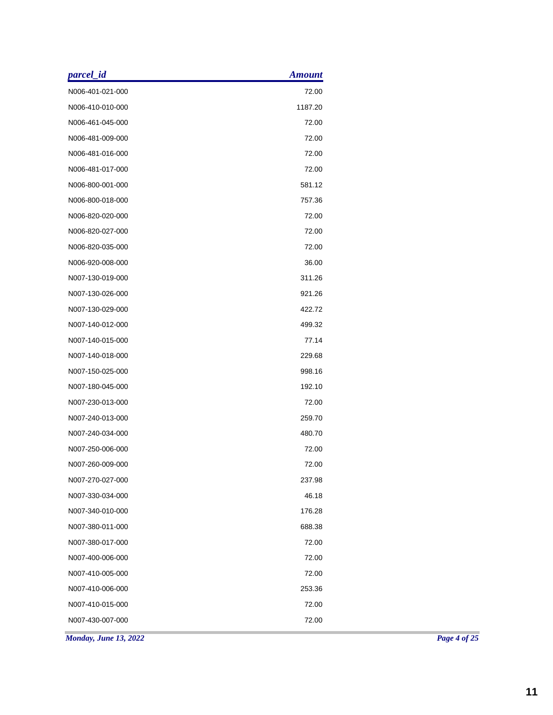| parcel_id        | <b>Amount</b> |  |
|------------------|---------------|--|
| N006-401-021-000 | 72.00         |  |
| N006-410-010-000 | 1187.20       |  |
| N006-461-045-000 | 72.00         |  |
| N006-481-009-000 | 72.00         |  |
| N006-481-016-000 | 72.00         |  |
| N006-481-017-000 | 72.00         |  |
| N006-800-001-000 | 581.12        |  |
| N006-800-018-000 | 757.36        |  |
| N006-820-020-000 | 72.00         |  |
| N006-820-027-000 | 72.00         |  |
| N006-820-035-000 | 72.00         |  |
| N006-920-008-000 | 36.00         |  |
| N007-130-019-000 | 311.26        |  |
| N007-130-026-000 | 921.26        |  |
| N007-130-029-000 | 422.72        |  |
| N007-140-012-000 | 499.32        |  |
| N007-140-015-000 | 77.14         |  |
| N007-140-018-000 | 229.68        |  |
| N007-150-025-000 | 998.16        |  |
| N007-180-045-000 | 192.10        |  |
| N007-230-013-000 | 72.00         |  |
| N007-240-013-000 | 259.70        |  |
| N007-240-034-000 | 480.70        |  |
| N007-250-006-000 | 72.00         |  |
| N007-260-009-000 | 72.00         |  |
| N007-270-027-000 | 237.98        |  |
| N007-330-034-000 | 46.18         |  |
| N007-340-010-000 | 176.28        |  |
| N007-380-011-000 | 688.38        |  |
| N007-380-017-000 | 72.00         |  |
| N007-400-006-000 | 72.00         |  |
| N007-410-005-000 | 72.00         |  |
| N007-410-006-000 | 253.36        |  |
| N007-410-015-000 | 72.00         |  |
| N007-430-007-000 | 72.00         |  |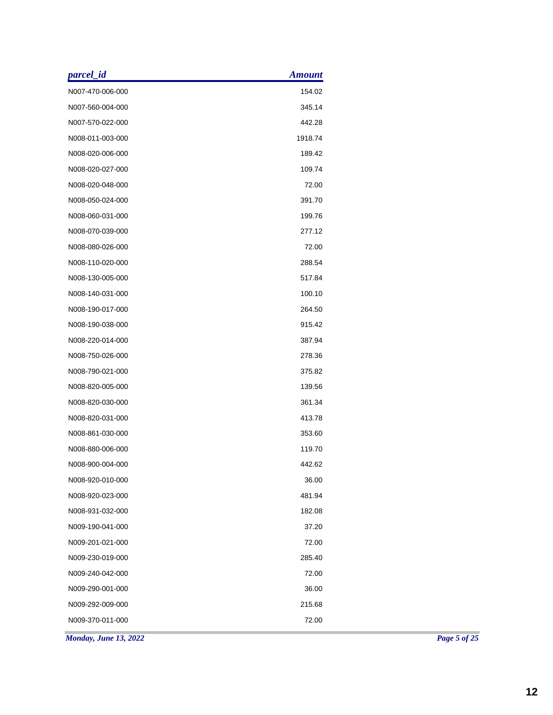| parcel_id                    | <b>Amount</b> |
|------------------------------|---------------|
| N007-470-006-000             | 154.02        |
| N007-560-004-000             | 345.14        |
| N007-570-022-000             | 442.28        |
| N008-011-003-000             | 1918.74       |
| N008-020-006-000             | 189.42        |
| N008-020-027-000             | 109.74        |
| N008-020-048-000             | 72.00         |
| N008-050-024-000             | 391.70        |
| N008-060-031-000             | 199.76        |
| N008-070-039-000             | 277.12        |
| N008-080-026-000             | 72.00         |
| N008-110-020-000             | 288.54        |
| N008-130-005-000             | 517.84        |
| N008-140-031-000             | 100.10        |
| N008-190-017-000             | 264.50        |
| N008-190-038-000             | 915.42        |
| N008-220-014-000             | 387.94        |
| N008-750-026-000             | 278.36        |
| N008-790-021-000             | 375.82        |
| N008-820-005-000             | 139.56        |
| N008-820-030-000             | 361.34        |
| N008-820-031-000             | 413.78        |
| N008-861-030-000             | 353.60        |
| N008-880-006-000             | 119.70        |
| N008-900-004-000             | 442.62        |
| N008-920-010-000             | 36.00         |
| N008-920-023-000             | 481.94        |
| N008-931-032-000             | 182.08        |
| N009-190-041-000             | 37.20         |
| N009-201-021-000             | 72.00         |
| N009-230-019-000             | 285.40        |
| N009-240-042-000             | 72.00         |
| N009-290-001-000             | 36.00         |
| N009-292-009-000             | 215.68        |
| N009-370-011-000             | 72.00         |
| <b>Monday, June 13, 2022</b> |               |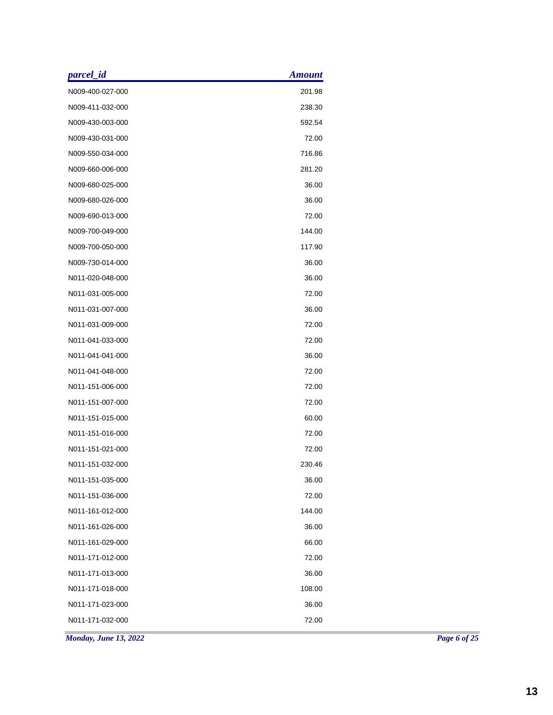| parcel_id             | <b>Amount</b> |
|-----------------------|---------------|
| N009-400-027-000      | 201.98        |
| N009-411-032-000      | 238.30        |
| N009-430-003-000      | 592.54        |
| N009-430-031-000      | 72.00         |
| N009-550-034-000      | 716.86        |
| N009-660-006-000      | 281.20        |
| N009-680-025-000      | 36.00         |
| N009-680-026-000      | 36.00         |
| N009-690-013-000      | 72.00         |
| N009-700-049-000      | 144.00        |
| N009-700-050-000      | 117.90        |
| N009-730-014-000      | 36.00         |
| N011-020-048-000      | 36.00         |
| N011-031-005-000      | 72.00         |
| N011-031-007-000      | 36.00         |
| N011-031-009-000      | 72.00         |
| N011-041-033-000      | 72.00         |
| N011-041-041-000      | 36.00         |
| N011-041-048-000      | 72.00         |
| N011-151-006-000      | 72.00         |
| N011-151-007-000      | 72.00         |
| N011-151-015-000      | 60.00         |
| N011-151-016-000      | 72.00         |
| N011-151-021-000      | 72.00         |
| N011-151-032-000      | 230.46        |
| N011-151-035-000      | 36.00         |
| N011-151-036-000      | 72.00         |
| N011-161-012-000      | 144.00        |
| N011-161-026-000      | 36.00         |
| N011-161-029-000      | 66.00         |
| N011-171-012-000      | 72.00         |
| N011-171-013-000      | 36.00         |
| N011-171-018-000      | 108.00        |
| N011-171-023-000      | 36.00         |
| N011-171-032-000      | 72.00         |
| Monday, June 13, 2022 |               |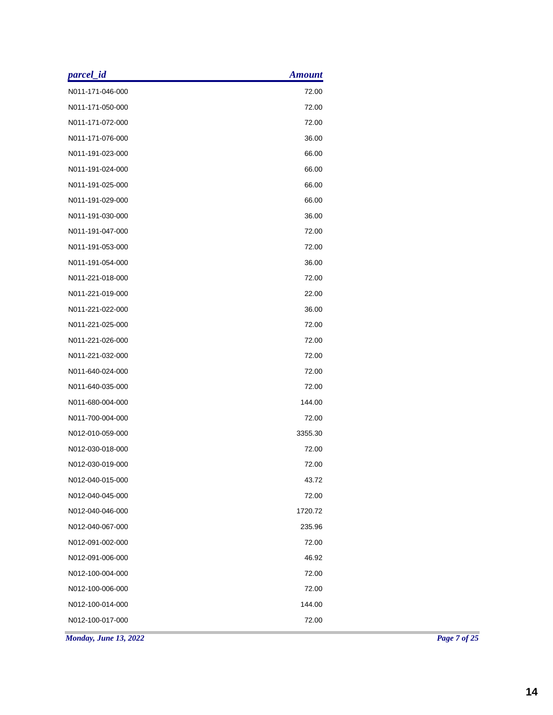| parcel_id             | <b>Amount</b> |
|-----------------------|---------------|
| N011-171-046-000      | 72.00         |
| N011-171-050-000      | 72.00         |
| N011-171-072-000      | 72.00         |
| N011-171-076-000      | 36.00         |
| N011-191-023-000      | 66.00         |
| N011-191-024-000      | 66.00         |
| N011-191-025-000      | 66.00         |
| N011-191-029-000      | 66.00         |
| N011-191-030-000      | 36.00         |
| N011-191-047-000      | 72.00         |
| N011-191-053-000      | 72.00         |
| N011-191-054-000      | 36.00         |
| N011-221-018-000      | 72.00         |
| N011-221-019-000      | 22.00         |
| N011-221-022-000      | 36.00         |
| N011-221-025-000      | 72.00         |
| N011-221-026-000      | 72.00         |
| N011-221-032-000      | 72.00         |
| N011-640-024-000      | 72.00         |
| N011-640-035-000      | 72.00         |
| N011-680-004-000      | 144.00        |
| N011-700-004-000      | 72.00         |
| N012-010-059-000      | 3355.30       |
| N012-030-018-000      | 72.00         |
| N012-030-019-000      | 72.00         |
| N012-040-015-000      | 43.72         |
| N012-040-045-000      | 72.00         |
| N012-040-046-000      | 1720.72       |
| N012-040-067-000      | 235.96        |
| N012-091-002-000      | 72.00         |
| N012-091-006-000      | 46.92         |
| N012-100-004-000      | 72.00         |
| N012-100-006-000      | 72.00         |
| N012-100-014-000      | 144.00        |
| N012-100-017-000      | 72.00         |
| Monday, June 13, 2022 |               |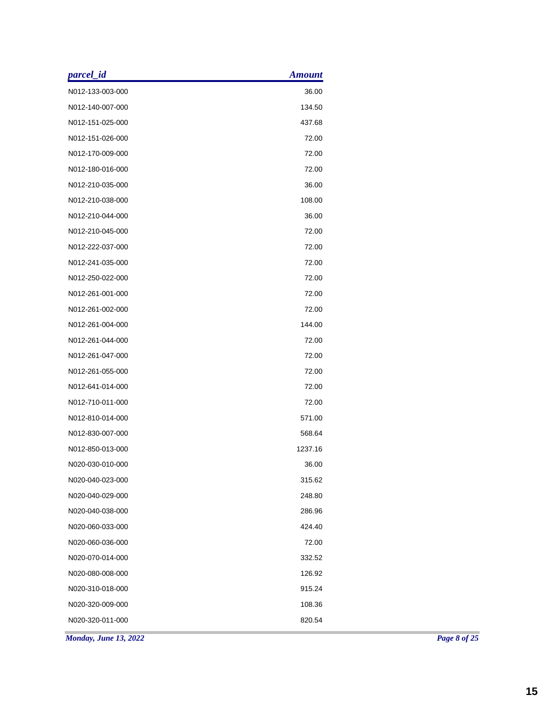| parcel_id        | <b>Amount</b> |  |
|------------------|---------------|--|
| N012-133-003-000 | 36.00         |  |
| N012-140-007-000 | 134.50        |  |
| N012-151-025-000 | 437.68        |  |
| N012-151-026-000 | 72.00         |  |
| N012-170-009-000 | 72.00         |  |
| N012-180-016-000 | 72.00         |  |
| N012-210-035-000 | 36.00         |  |
| N012-210-038-000 | 108.00        |  |
| N012-210-044-000 | 36.00         |  |
| N012-210-045-000 | 72.00         |  |
| N012-222-037-000 | 72.00         |  |
| N012-241-035-000 | 72.00         |  |
| N012-250-022-000 | 72.00         |  |
| N012-261-001-000 | 72.00         |  |
| N012-261-002-000 | 72.00         |  |
| N012-261-004-000 | 144.00        |  |
| N012-261-044-000 | 72.00         |  |
| N012-261-047-000 | 72.00         |  |
| N012-261-055-000 | 72.00         |  |
| N012-641-014-000 | 72.00         |  |
| N012-710-011-000 | 72.00         |  |
| N012-810-014-000 | 571.00        |  |
| N012-830-007-000 | 568.64        |  |
| N012-850-013-000 | 1237.16       |  |
| N020-030-010-000 | 36.00         |  |
| N020-040-023-000 | 315.62        |  |
| N020-040-029-000 | 248.80        |  |
| N020-040-038-000 | 286.96        |  |
| N020-060-033-000 | 424.40        |  |
| N020-060-036-000 | 72.00         |  |
| N020-070-014-000 | 332.52        |  |
| N020-080-008-000 | 126.92        |  |
| N020-310-018-000 | 915.24        |  |
| N020-320-009-000 | 108.36        |  |
|                  |               |  |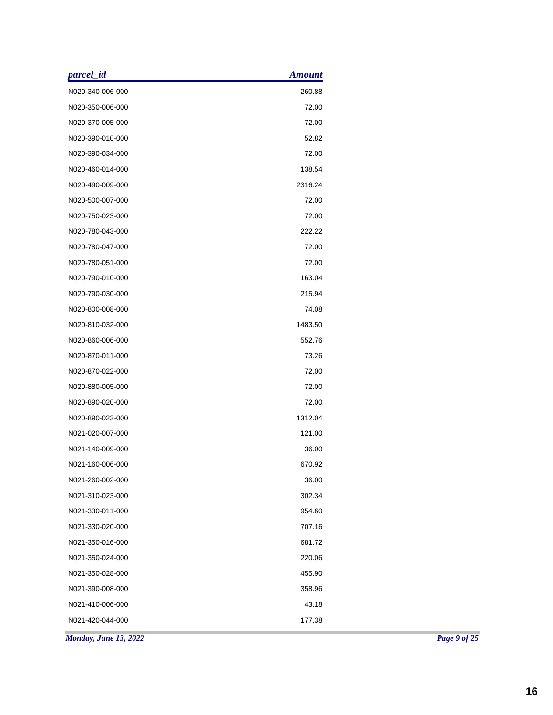| parcel_id                    | <b>Amount</b> |  |
|------------------------------|---------------|--|
| N020-340-006-000             | 260.88        |  |
| N020-350-006-000             | 72.00         |  |
| N020-370-005-000             | 72.00         |  |
| N020-390-010-000             | 52.82         |  |
| N020-390-034-000             | 72.00         |  |
| N020-460-014-000             | 138.54        |  |
| N020-490-009-000             | 2316.24       |  |
| N020-500-007-000             | 72.00         |  |
| N020-750-023-000             | 72.00         |  |
| N020-780-043-000             | 222.22        |  |
| N020-780-047-000             | 72.00         |  |
| N020-780-051-000             | 72.00         |  |
| N020-790-010-000             | 163.04        |  |
| N020-790-030-000             | 215.94        |  |
| N020-800-008-000             | 74.08         |  |
| N020-810-032-000             | 1483.50       |  |
| N020-860-006-000             | 552.76        |  |
| N020-870-011-000             | 73.26         |  |
| N020-870-022-000             | 72.00         |  |
| N020-880-005-000             | 72.00         |  |
| N020-890-020-000             | 72.00         |  |
| N020-890-023-000             | 1312.04       |  |
| N021-020-007-000             | 121.00        |  |
| N021-140-009-000             | 36.00         |  |
| N021-160-006-000             | 670.92        |  |
| N021-260-002-000             | 36.00         |  |
| N021-310-023-000             | 302.34        |  |
| N021-330-011-000             | 954.60        |  |
| N021-330-020-000             | 707.16        |  |
| N021-350-016-000             | 681.72        |  |
| N021-350-024-000             | 220.06        |  |
| N021-350-028-000             | 455.90        |  |
| N021-390-008-000             | 358.96        |  |
| N021-410-006-000             | 43.18         |  |
| N021-420-044-000             | 177.38        |  |
| <b>Monday, June 13, 2022</b> |               |  |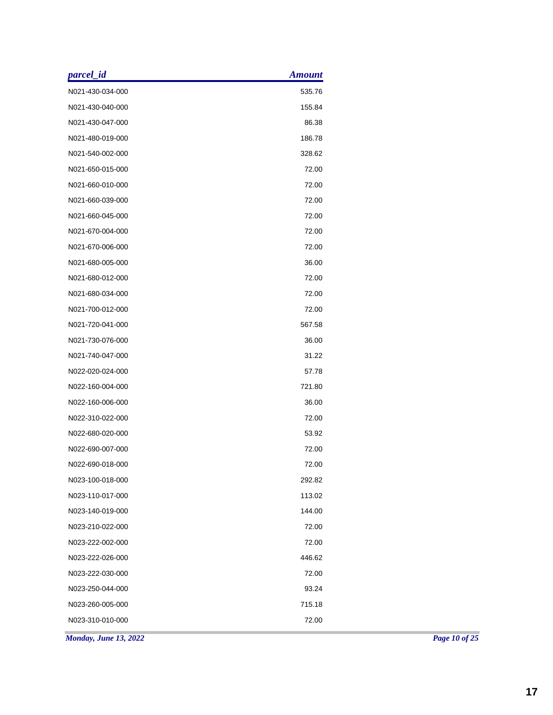| parcel_id             | <b>Amount</b> |  |
|-----------------------|---------------|--|
| N021-430-034-000      | 535.76        |  |
| N021-430-040-000      | 155.84        |  |
| N021-430-047-000      | 86.38         |  |
| N021-480-019-000      | 186.78        |  |
| N021-540-002-000      | 328.62        |  |
| N021-650-015-000      | 72.00         |  |
| N021-660-010-000      | 72.00         |  |
| N021-660-039-000      | 72.00         |  |
| N021-660-045-000      | 72.00         |  |
| N021-670-004-000      | 72.00         |  |
| N021-670-006-000      | 72.00         |  |
| N021-680-005-000      | 36.00         |  |
| N021-680-012-000      | 72.00         |  |
| N021-680-034-000      | 72.00         |  |
| N021-700-012-000      | 72.00         |  |
| N021-720-041-000      | 567.58        |  |
| N021-730-076-000      | 36.00         |  |
| N021-740-047-000      | 31.22         |  |
| N022-020-024-000      | 57.78         |  |
| N022-160-004-000      | 721.80        |  |
| N022-160-006-000      | 36.00         |  |
| N022-310-022-000      | 72.00         |  |
| N022-680-020-000      | 53.92         |  |
| N022-690-007-000      | 72.00         |  |
| N022-690-018-000      | 72.00         |  |
| N023-100-018-000      | 292.82        |  |
| N023-110-017-000      | 113.02        |  |
| N023-140-019-000      | 144.00        |  |
| N023-210-022-000      | 72.00         |  |
| N023-222-002-000      | 72.00         |  |
| N023-222-026-000      | 446.62        |  |
| N023-222-030-000      | 72.00         |  |
| N023-250-044-000      | 93.24         |  |
| N023-260-005-000      | 715.18        |  |
| N023-310-010-000      | 72.00         |  |
| Monday, June 13, 2022 |               |  |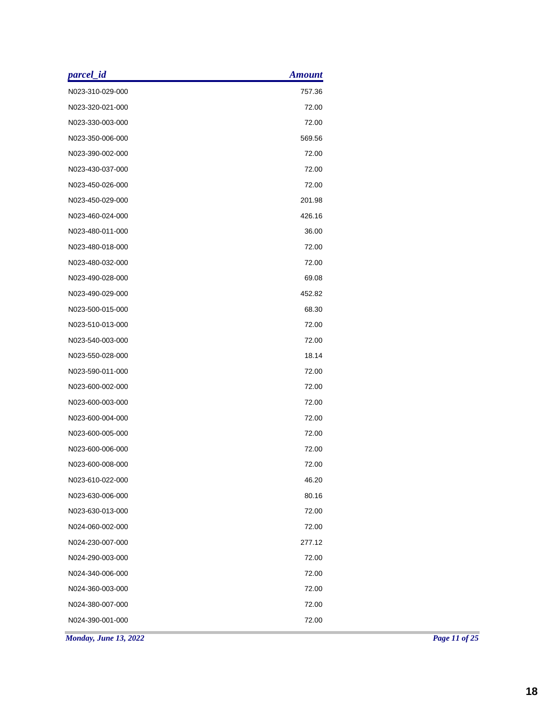| parcel_id             | <b>Amount</b> |
|-----------------------|---------------|
| N023-310-029-000      | 757.36        |
| N023-320-021-000      | 72.00         |
| N023-330-003-000      | 72.00         |
| N023-350-006-000      | 569.56        |
| N023-390-002-000      | 72.00         |
| N023-430-037-000      | 72.00         |
| N023-450-026-000      | 72.00         |
| N023-450-029-000      | 201.98        |
| N023-460-024-000      | 426.16        |
| N023-480-011-000      | 36.00         |
| N023-480-018-000      | 72.00         |
| N023-480-032-000      | 72.00         |
| N023-490-028-000      | 69.08         |
| N023-490-029-000      | 452.82        |
| N023-500-015-000      | 68.30         |
| N023-510-013-000      | 72.00         |
| N023-540-003-000      | 72.00         |
| N023-550-028-000      | 18.14         |
| N023-590-011-000      | 72.00         |
| N023-600-002-000      | 72.00         |
| N023-600-003-000      | 72.00         |
| N023-600-004-000      | 72.00         |
| N023-600-005-000      | 72.00         |
| N023-600-006-000      | 72.00         |
| N023-600-008-000      | 72.00         |
| N023-610-022-000      | 46.20         |
| N023-630-006-000      | 80.16         |
| N023-630-013-000      | 72.00         |
| N024-060-002-000      | 72.00         |
| N024-230-007-000      | 277.12        |
| N024-290-003-000      | 72.00         |
| N024-340-006-000      | 72.00         |
| N024-360-003-000      | 72.00         |
| N024-380-007-000      | 72.00         |
| N024-390-001-000      | 72.00         |
| Monday, June 13, 2022 |               |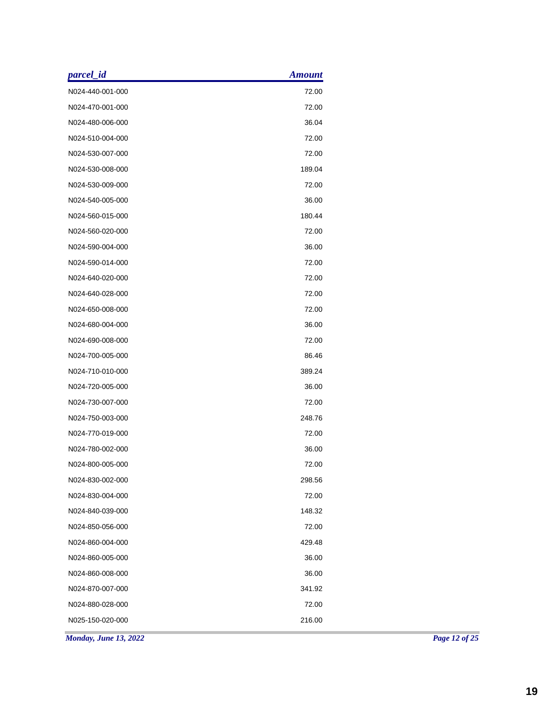| parcel_id                    | <b>Amount</b> |  |
|------------------------------|---------------|--|
| N024-440-001-000             | 72.00         |  |
| N024-470-001-000             | 72.00         |  |
| N024-480-006-000             | 36.04         |  |
| N024-510-004-000             | 72.00         |  |
| N024-530-007-000             | 72.00         |  |
| N024-530-008-000             | 189.04        |  |
| N024-530-009-000             | 72.00         |  |
| N024-540-005-000             | 36.00         |  |
| N024-560-015-000             | 180.44        |  |
| N024-560-020-000             | 72.00         |  |
| N024-590-004-000             | 36.00         |  |
| N024-590-014-000             | 72.00         |  |
| N024-640-020-000             | 72.00         |  |
| N024-640-028-000             | 72.00         |  |
| N024-650-008-000             | 72.00         |  |
| N024-680-004-000             | 36.00         |  |
| N024-690-008-000             | 72.00         |  |
| N024-700-005-000             | 86.46         |  |
| N024-710-010-000             | 389.24        |  |
| N024-720-005-000             | 36.00         |  |
| N024-730-007-000             | 72.00         |  |
| N024-750-003-000             | 248.76        |  |
| N024-770-019-000             | 72.00         |  |
| N024-780-002-000             | 36.00         |  |
| N024-800-005-000             | 72.00         |  |
| N024-830-002-000             | 298.56        |  |
| N024-830-004-000             | 72.00         |  |
| N024-840-039-000             | 148.32        |  |
| N024-850-056-000             | 72.00         |  |
| N024-860-004-000             | 429.48        |  |
| N024-860-005-000             | 36.00         |  |
| N024-860-008-000             | 36.00         |  |
| N024-870-007-000             | 341.92        |  |
| N024-880-028-000             | 72.00         |  |
| N025-150-020-000             | 216.00        |  |
| <b>Monday, June 13, 2022</b> |               |  |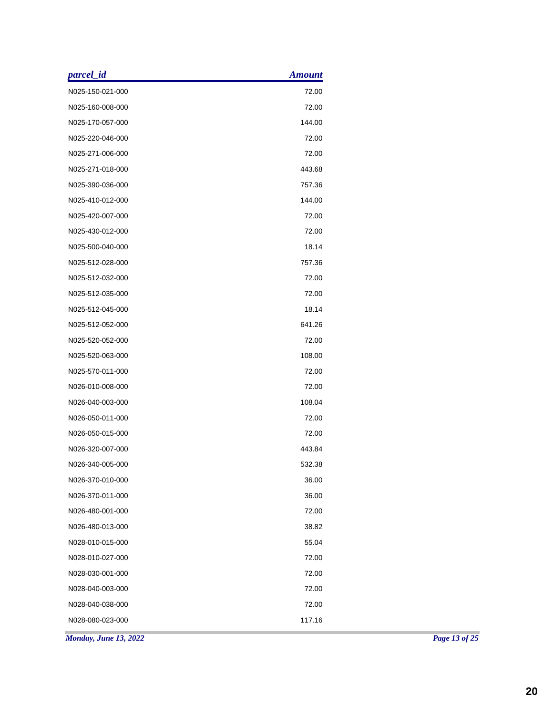| N025-150-021-000<br>72.00<br>72.00<br>N025-160-008-000<br>144.00<br>N025-170-057-000<br>N025-220-046-000<br>72.00<br>72.00<br>N025-271-006-000<br>N025-271-018-000<br>443.68<br>N025-390-036-000<br>757.36 |
|------------------------------------------------------------------------------------------------------------------------------------------------------------------------------------------------------------|
|                                                                                                                                                                                                            |
|                                                                                                                                                                                                            |
|                                                                                                                                                                                                            |
|                                                                                                                                                                                                            |
|                                                                                                                                                                                                            |
|                                                                                                                                                                                                            |
|                                                                                                                                                                                                            |
| N025-410-012-000<br>144.00                                                                                                                                                                                 |
| 72.00<br>N025-420-007-000                                                                                                                                                                                  |
| N025-430-012-000<br>72.00                                                                                                                                                                                  |
| 18.14<br>N025-500-040-000                                                                                                                                                                                  |
| 757.36<br>N025-512-028-000                                                                                                                                                                                 |
| N025-512-032-000<br>72.00                                                                                                                                                                                  |
| 72.00<br>N025-512-035-000                                                                                                                                                                                  |
| N025-512-045-000<br>18.14                                                                                                                                                                                  |
| 641.26<br>N025-512-052-000                                                                                                                                                                                 |
| 72.00<br>N025-520-052-000                                                                                                                                                                                  |
| 108.00<br>N025-520-063-000                                                                                                                                                                                 |
| 72.00<br>N025-570-011-000                                                                                                                                                                                  |
| 72.00<br>N026-010-008-000                                                                                                                                                                                  |
| 108.04<br>N026-040-003-000                                                                                                                                                                                 |
| 72.00<br>N026-050-011-000                                                                                                                                                                                  |
| N026-050-015-000<br>72.00                                                                                                                                                                                  |
| 443.84<br>N026-320-007-000                                                                                                                                                                                 |
| N026-340-005-000<br>532.38                                                                                                                                                                                 |
| 36.00<br>N026-370-010-000                                                                                                                                                                                  |
| 36.00<br>N026-370-011-000                                                                                                                                                                                  |
| 72.00<br>N026-480-001-000                                                                                                                                                                                  |
| 38.82<br>N026-480-013-000                                                                                                                                                                                  |
| 55.04<br>N028-010-015-000                                                                                                                                                                                  |
| 72.00<br>N028-010-027-000                                                                                                                                                                                  |
| 72.00<br>N028-030-001-000                                                                                                                                                                                  |
| N028-040-003-000<br>72.00                                                                                                                                                                                  |
| 72.00<br>N028-040-038-000                                                                                                                                                                                  |
| 117.16<br>N028-080-023-000                                                                                                                                                                                 |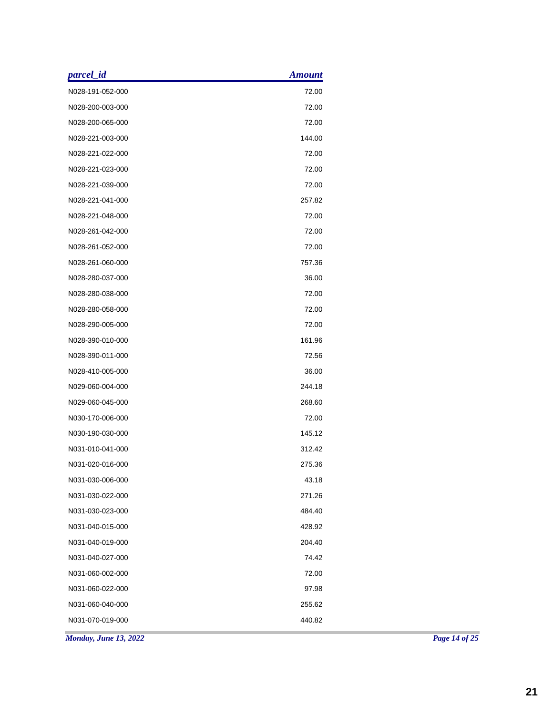| parcel_id             | <b>Amount</b> |
|-----------------------|---------------|
| N028-191-052-000      | 72.00         |
| N028-200-003-000      | 72.00         |
| N028-200-065-000      | 72.00         |
| N028-221-003-000      | 144.00        |
| N028-221-022-000      | 72.00         |
| N028-221-023-000      | 72.00         |
| N028-221-039-000      | 72.00         |
| N028-221-041-000      | 257.82        |
| N028-221-048-000      | 72.00         |
| N028-261-042-000      | 72.00         |
| N028-261-052-000      | 72.00         |
| N028-261-060-000      | 757.36        |
| N028-280-037-000      | 36.00         |
| N028-280-038-000      | 72.00         |
| N028-280-058-000      | 72.00         |
| N028-290-005-000      | 72.00         |
| N028-390-010-000      | 161.96        |
| N028-390-011-000      | 72.56         |
| N028-410-005-000      | 36.00         |
| N029-060-004-000      | 244.18        |
| N029-060-045-000      | 268.60        |
| N030-170-006-000      | 72.00         |
| N030-190-030-000      | 145.12        |
| N031-010-041-000      | 312.42        |
| N031-020-016-000      | 275.36        |
| N031-030-006-000      | 43.18         |
| N031-030-022-000      | 271.26        |
| N031-030-023-000      | 484.40        |
| N031-040-015-000      | 428.92        |
| N031-040-019-000      | 204.40        |
| N031-040-027-000      | 74.42         |
| N031-060-002-000      | 72.00         |
| N031-060-022-000      | 97.98         |
| N031-060-040-000      | 255.62        |
| N031-070-019-000      | 440.82        |
| Monday, June 13, 2022 |               |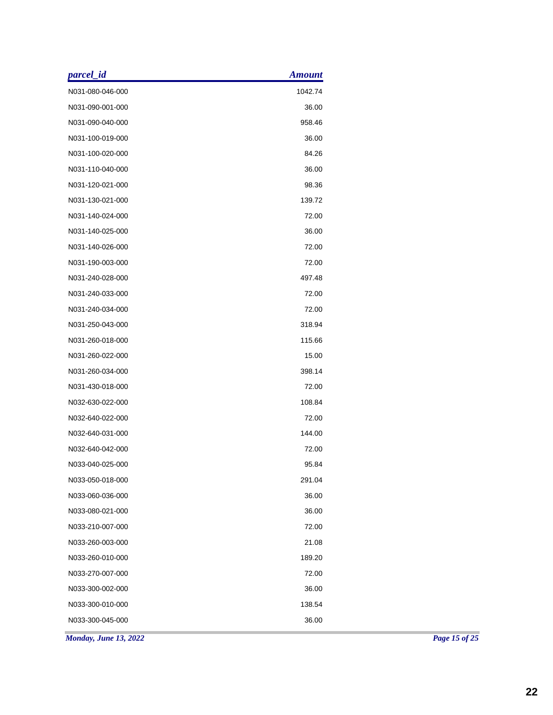| parcel_id<br><b>Amount</b>   |
|------------------------------|
| 1042.74<br>N031-080-046-000  |
| N031-090-001-000<br>36.00    |
| 958.46<br>N031-090-040-000   |
| N031-100-019-000<br>36.00    |
| N031-100-020-000<br>84.26    |
| N031-110-040-000<br>36.00    |
| N031-120-021-000<br>98.36    |
| 139.72<br>N031-130-021-000   |
| N031-140-024-000<br>72.00    |
| N031-140-025-000<br>36.00    |
| N031-140-026-000<br>72.00    |
| N031-190-003-000<br>72.00    |
| 497.48<br>N031-240-028-000   |
| N031-240-033-000<br>72.00    |
| 72.00<br>N031-240-034-000    |
| N031-250-043-000<br>318.94   |
| N031-260-018-000<br>115.66   |
| N031-260-022-000<br>15.00    |
| N031-260-034-000<br>398.14   |
| N031-430-018-000<br>72.00    |
| N032-630-022-000<br>108.84   |
| N032-640-022-000<br>72.00    |
| 144.00<br>N032-640-031-000   |
| 72.00<br>N032-640-042-000    |
| 95.84<br>N033-040-025-000    |
| 291.04<br>N033-050-018-000   |
| 36.00<br>N033-060-036-000    |
| 36.00<br>N033-080-021-000    |
| 72.00<br>N033-210-007-000    |
| 21.08<br>N033-260-003-000    |
| 189.20<br>N033-260-010-000   |
| 72.00<br>N033-270-007-000    |
| 36.00<br>N033-300-002-000    |
| 138.54<br>N033-300-010-000   |
| 36.00<br>N033-300-045-000    |
| <b>Monday, June 13, 2022</b> |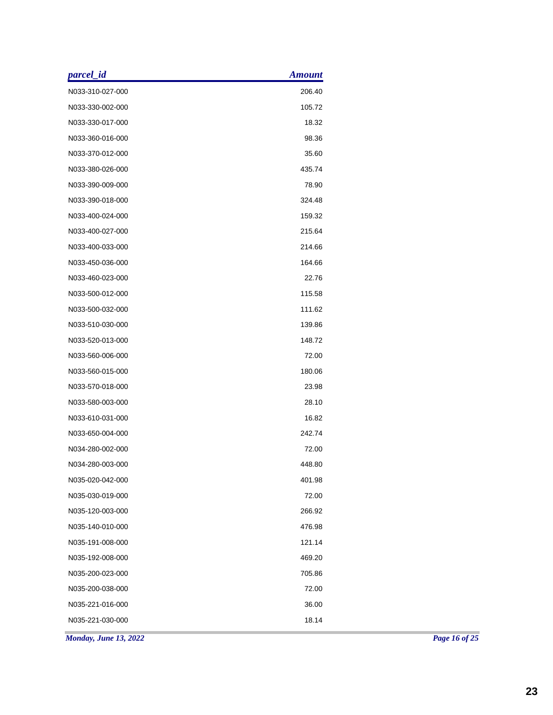| parcel_id                    | <b>Amount</b> |
|------------------------------|---------------|
| N033-310-027-000             | 206.40        |
| N033-330-002-000             | 105.72        |
| N033-330-017-000             | 18.32         |
| N033-360-016-000             | 98.36         |
| N033-370-012-000             | 35.60         |
| N033-380-026-000             | 435.74        |
| N033-390-009-000             | 78.90         |
| N033-390-018-000             | 324.48        |
| N033-400-024-000             | 159.32        |
| N033-400-027-000             | 215.64        |
| N033-400-033-000             | 214.66        |
| N033-450-036-000             | 164.66        |
| N033-460-023-000             | 22.76         |
| N033-500-012-000             | 115.58        |
| N033-500-032-000             | 111.62        |
| N033-510-030-000             | 139.86        |
| N033-520-013-000             | 148.72        |
| N033-560-006-000             | 72.00         |
| N033-560-015-000             | 180.06        |
| N033-570-018-000             | 23.98         |
| N033-580-003-000             | 28.10         |
| N033-610-031-000             | 16.82         |
| N033-650-004-000             | 242.74        |
| N034-280-002-000             | 72.00         |
| N034-280-003-000             | 448.80        |
| N035-020-042-000             | 401.98        |
| N035-030-019-000             | 72.00         |
| N035-120-003-000             | 266.92        |
| N035-140-010-000             | 476.98        |
| N035-191-008-000             | 121.14        |
| N035-192-008-000             | 469.20        |
| N035-200-023-000             | 705.86        |
| N035-200-038-000             | 72.00         |
| N035-221-016-000             | 36.00         |
| N035-221-030-000             | 18.14         |
| <b>Monday, June 13, 2022</b> |               |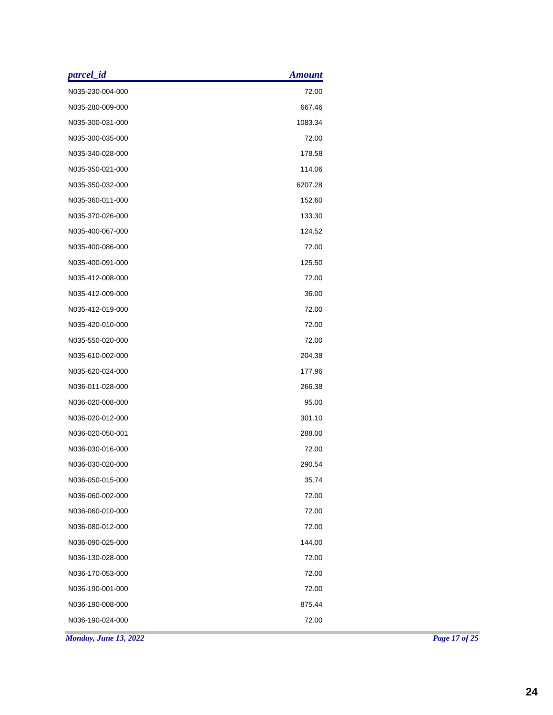| parcel_id                    | <b>Amount</b> |
|------------------------------|---------------|
| N035-230-004-000             | 72.00         |
| N035-280-009-000             | 667.46        |
| N035-300-031-000             | 1083.34       |
| N035-300-035-000             | 72.00         |
| N035-340-028-000             | 178.58        |
| N035-350-021-000             | 114.06        |
| N035-350-032-000             | 6207.28       |
| N035-360-011-000             | 152.60        |
| N035-370-026-000             | 133.30        |
| N035-400-067-000             | 124.52        |
| N035-400-086-000             | 72.00         |
| N035-400-091-000             | 125.50        |
| N035-412-008-000             | 72.00         |
| N035-412-009-000             | 36.00         |
| N035-412-019-000             | 72.00         |
| N035-420-010-000             | 72.00         |
| N035-550-020-000             | 72.00         |
| N035-610-002-000             | 204.38        |
| N035-620-024-000             | 177.96        |
| N036-011-028-000             | 266.38        |
| N036-020-008-000             | 95.00         |
| N036-020-012-000             | 301.10        |
| N036-020-050-001             | 288.00        |
| N036-030-016-000             | 72.00         |
| N036-030-020-000             | 290.54        |
| N036-050-015-000             | 35.74         |
| N036-060-002-000             | 72.00         |
| N036-060-010-000             | 72.00         |
| N036-080-012-000             | 72.00         |
| N036-090-025-000             | 144.00        |
| N036-130-028-000             | 72.00         |
| N036-170-053-000             | 72.00         |
| N036-190-001-000             | 72.00         |
| N036-190-008-000             | 875.44        |
| N036-190-024-000             | 72.00         |
| <b>Monday, June 13, 2022</b> |               |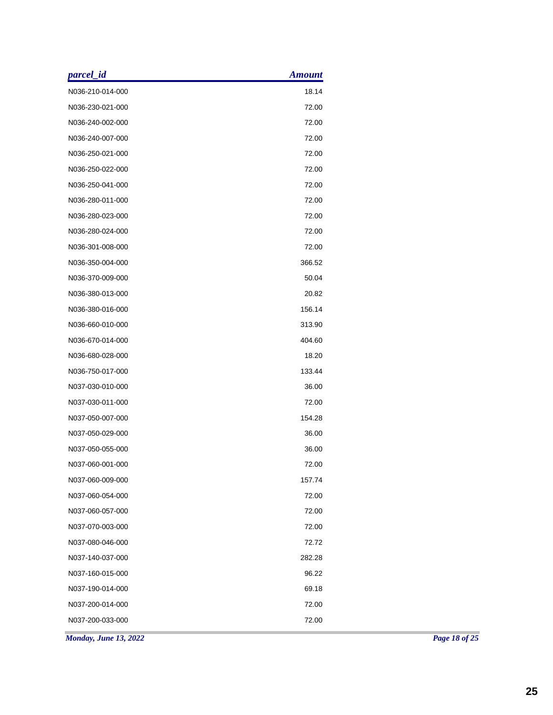| parcel_id             | <b>Amount</b> |  |
|-----------------------|---------------|--|
| N036-210-014-000      | 18.14         |  |
| N036-230-021-000      | 72.00         |  |
| N036-240-002-000      | 72.00         |  |
| N036-240-007-000      | 72.00         |  |
| N036-250-021-000      | 72.00         |  |
| N036-250-022-000      | 72.00         |  |
| N036-250-041-000      | 72.00         |  |
| N036-280-011-000      | 72.00         |  |
| N036-280-023-000      | 72.00         |  |
| N036-280-024-000      | 72.00         |  |
| N036-301-008-000      | 72.00         |  |
| N036-350-004-000      | 366.52        |  |
| N036-370-009-000      | 50.04         |  |
| N036-380-013-000      | 20.82         |  |
| N036-380-016-000      | 156.14        |  |
| N036-660-010-000      | 313.90        |  |
| N036-670-014-000      | 404.60        |  |
| N036-680-028-000      | 18.20         |  |
| N036-750-017-000      | 133.44        |  |
| N037-030-010-000      | 36.00         |  |
| N037-030-011-000      | 72.00         |  |
| N037-050-007-000      | 154.28        |  |
| N037-050-029-000      | 36.00         |  |
| N037-050-055-000      | 36.00         |  |
| N037-060-001-000      | 72.00         |  |
| N037-060-009-000      | 157.74        |  |
| N037-060-054-000      | 72.00         |  |
| N037-060-057-000      | 72.00         |  |
| N037-070-003-000      | 72.00         |  |
| N037-080-046-000      | 72.72         |  |
| N037-140-037-000      | 282.28        |  |
| N037-160-015-000      | 96.22         |  |
| N037-190-014-000      | 69.18         |  |
| N037-200-014-000      | 72.00         |  |
| N037-200-033-000      | 72.00         |  |
| Monday, June 13, 2022 |               |  |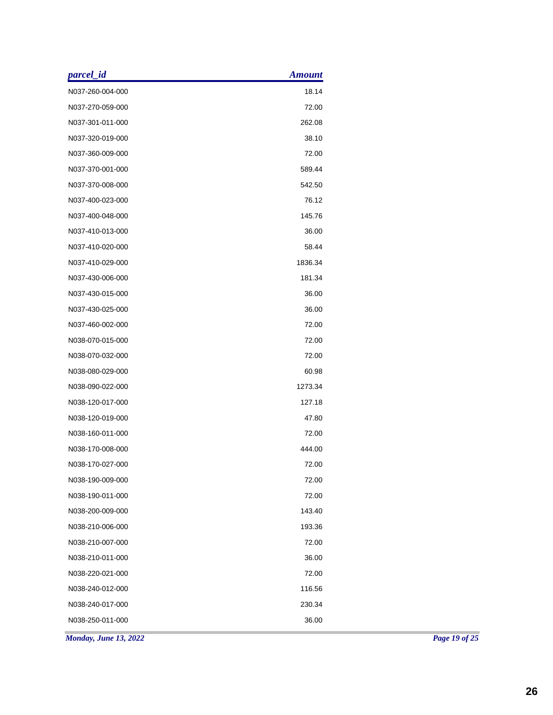| parcel_id                    | <b>Amount</b> |  |
|------------------------------|---------------|--|
| N037-260-004-000             | 18.14         |  |
| N037-270-059-000             | 72.00         |  |
| N037-301-011-000             | 262.08        |  |
| N037-320-019-000             | 38.10         |  |
| N037-360-009-000             | 72.00         |  |
| N037-370-001-000             | 589.44        |  |
| N037-370-008-000             | 542.50        |  |
| N037-400-023-000             | 76.12         |  |
| N037-400-048-000             | 145.76        |  |
| N037-410-013-000             | 36.00         |  |
| N037-410-020-000             | 58.44         |  |
| N037-410-029-000             | 1836.34       |  |
| N037-430-006-000             | 181.34        |  |
| N037-430-015-000             | 36.00         |  |
| N037-430-025-000             | 36.00         |  |
| N037-460-002-000             | 72.00         |  |
| N038-070-015-000             | 72.00         |  |
| N038-070-032-000             | 72.00         |  |
| N038-080-029-000             | 60.98         |  |
| N038-090-022-000             | 1273.34       |  |
| N038-120-017-000             | 127.18        |  |
| N038-120-019-000             | 47.80         |  |
| N038-160-011-000             | 72.00         |  |
| N038-170-008-000             | 444.00        |  |
| N038-170-027-000             | 72.00         |  |
| N038-190-009-000             | 72.00         |  |
| N038-190-011-000             | 72.00         |  |
| N038-200-009-000             | 143.40        |  |
| N038-210-006-000             | 193.36        |  |
| N038-210-007-000             | 72.00         |  |
| N038-210-011-000             | 36.00         |  |
| N038-220-021-000             | 72.00         |  |
| N038-240-012-000             | 116.56        |  |
| N038-240-017-000             | 230.34        |  |
| N038-250-011-000             | 36.00         |  |
| <b>Monday, June 13, 2022</b> |               |  |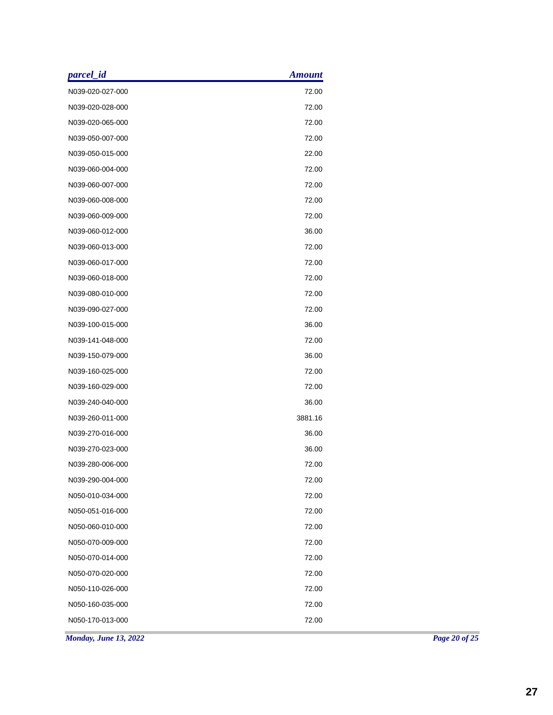| parcel_id             | <b>Amount</b> |
|-----------------------|---------------|
| N039-020-027-000      | 72.00         |
| N039-020-028-000      | 72.00         |
| N039-020-065-000      | 72.00         |
| N039-050-007-000      | 72.00         |
| N039-050-015-000      | 22.00         |
| N039-060-004-000      | 72.00         |
| N039-060-007-000      | 72.00         |
| N039-060-008-000      | 72.00         |
| N039-060-009-000      | 72.00         |
| N039-060-012-000      | 36.00         |
| N039-060-013-000      | 72.00         |
| N039-060-017-000      | 72.00         |
| N039-060-018-000      | 72.00         |
| N039-080-010-000      | 72.00         |
| N039-090-027-000      | 72.00         |
| N039-100-015-000      | 36.00         |
| N039-141-048-000      | 72.00         |
| N039-150-079-000      | 36.00         |
| N039-160-025-000      | 72.00         |
| N039-160-029-000      | 72.00         |
| N039-240-040-000      | 36.00         |
| N039-260-011-000      | 3881.16       |
| N039-270-016-000      | 36.00         |
| N039-270-023-000      | 36.00         |
| N039-280-006-000      | 72.00         |
| N039-290-004-000      | 72.00         |
| N050-010-034-000      | 72.00         |
| N050-051-016-000      | 72.00         |
| N050-060-010-000      | 72.00         |
| N050-070-009-000      | 72.00         |
| N050-070-014-000      | 72.00         |
| N050-070-020-000      | 72.00         |
| N050-110-026-000      | 72.00         |
| N050-160-035-000      | 72.00         |
| N050-170-013-000      | 72.00         |
| Monday, June 13, 2022 |               |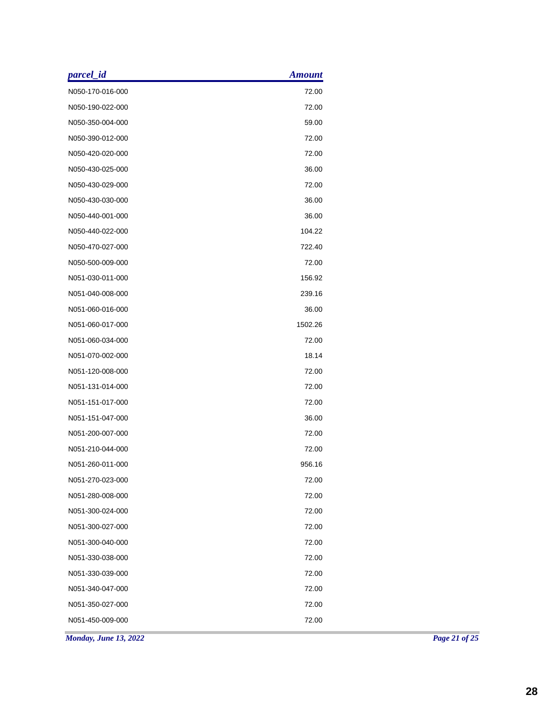| parcel_id             | <b>Amount</b> |  |
|-----------------------|---------------|--|
| N050-170-016-000      | 72.00         |  |
| N050-190-022-000      | 72.00         |  |
| N050-350-004-000      | 59.00         |  |
| N050-390-012-000      | 72.00         |  |
| N050-420-020-000      | 72.00         |  |
| N050-430-025-000      | 36.00         |  |
| N050-430-029-000      | 72.00         |  |
| N050-430-030-000      | 36.00         |  |
| N050-440-001-000      | 36.00         |  |
| N050-440-022-000      | 104.22        |  |
| N050-470-027-000      | 722.40        |  |
| N050-500-009-000      | 72.00         |  |
| N051-030-011-000      | 156.92        |  |
| N051-040-008-000      | 239.16        |  |
| N051-060-016-000      | 36.00         |  |
| N051-060-017-000      | 1502.26       |  |
| N051-060-034-000      | 72.00         |  |
| N051-070-002-000      | 18.14         |  |
| N051-120-008-000      | 72.00         |  |
| N051-131-014-000      | 72.00         |  |
| N051-151-017-000      | 72.00         |  |
| N051-151-047-000      | 36.00         |  |
| N051-200-007-000      | 72.00         |  |
| N051-210-044-000      | 72.00         |  |
| N051-260-011-000      | 956.16        |  |
| N051-270-023-000      | 72.00         |  |
| N051-280-008-000      | 72.00         |  |
| N051-300-024-000      | 72.00         |  |
| N051-300-027-000      | 72.00         |  |
| N051-300-040-000      | 72.00         |  |
| N051-330-038-000      | 72.00         |  |
| N051-330-039-000      | 72.00         |  |
| N051-340-047-000      | 72.00         |  |
| N051-350-027-000      | 72.00         |  |
| N051-450-009-000      | 72.00         |  |
| Monday, June 13, 2022 |               |  |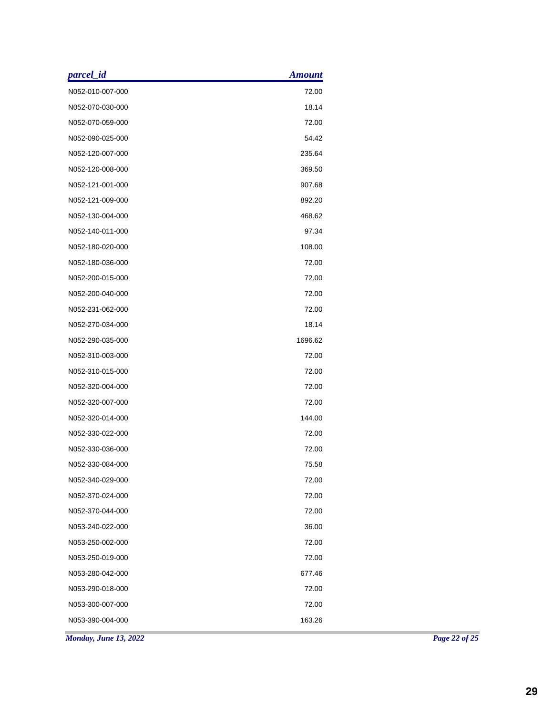| parcel_id             | <b>Amount</b> |  |
|-----------------------|---------------|--|
| N052-010-007-000      | 72.00         |  |
| N052-070-030-000      | 18.14         |  |
| N052-070-059-000      | 72.00         |  |
| N052-090-025-000      | 54.42         |  |
| N052-120-007-000      | 235.64        |  |
| N052-120-008-000      | 369.50        |  |
| N052-121-001-000      | 907.68        |  |
| N052-121-009-000      | 892.20        |  |
| N052-130-004-000      | 468.62        |  |
| N052-140-011-000      | 97.34         |  |
| N052-180-020-000      | 108.00        |  |
| N052-180-036-000      | 72.00         |  |
| N052-200-015-000      | 72.00         |  |
| N052-200-040-000      | 72.00         |  |
| N052-231-062-000      | 72.00         |  |
| N052-270-034-000      | 18.14         |  |
| N052-290-035-000      | 1696.62       |  |
| N052-310-003-000      | 72.00         |  |
| N052-310-015-000      | 72.00         |  |
| N052-320-004-000      | 72.00         |  |
| N052-320-007-000      | 72.00         |  |
| N052-320-014-000      | 144.00        |  |
| N052-330-022-000      | 72.00         |  |
| N052-330-036-000      | 72.00         |  |
| N052-330-084-000      | 75.58         |  |
| N052-340-029-000      | 72.00         |  |
| N052-370-024-000      | 72.00         |  |
| N052-370-044-000      | 72.00         |  |
| N053-240-022-000      | 36.00         |  |
| N053-250-002-000      | 72.00         |  |
| N053-250-019-000      | 72.00         |  |
| N053-280-042-000      | 677.46        |  |
| N053-290-018-000      | 72.00         |  |
| N053-300-007-000      | 72.00         |  |
| N053-390-004-000      | 163.26        |  |
| Monday, June 13, 2022 |               |  |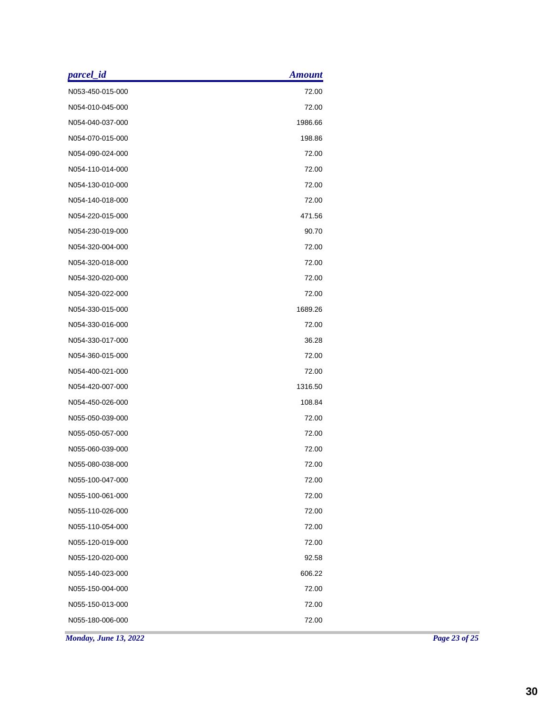| parcel_id             | <b>Amount</b> |  |
|-----------------------|---------------|--|
| N053-450-015-000      | 72.00         |  |
| N054-010-045-000      | 72.00         |  |
| N054-040-037-000      | 1986.66       |  |
| N054-070-015-000      | 198.86        |  |
| N054-090-024-000      | 72.00         |  |
| N054-110-014-000      | 72.00         |  |
| N054-130-010-000      | 72.00         |  |
| N054-140-018-000      | 72.00         |  |
| N054-220-015-000      | 471.56        |  |
| N054-230-019-000      | 90.70         |  |
| N054-320-004-000      | 72.00         |  |
| N054-320-018-000      | 72.00         |  |
| N054-320-020-000      | 72.00         |  |
| N054-320-022-000      | 72.00         |  |
| N054-330-015-000      | 1689.26       |  |
| N054-330-016-000      | 72.00         |  |
| N054-330-017-000      | 36.28         |  |
| N054-360-015-000      | 72.00         |  |
| N054-400-021-000      | 72.00         |  |
| N054-420-007-000      | 1316.50       |  |
| N054-450-026-000      | 108.84        |  |
| N055-050-039-000      | 72.00         |  |
| N055-050-057-000      | 72.00         |  |
| N055-060-039-000      | 72.00         |  |
| N055-080-038-000      | 72.00         |  |
| N055-100-047-000      | 72.00         |  |
| N055-100-061-000      | 72.00         |  |
| N055-110-026-000      | 72.00         |  |
| N055-110-054-000      | 72.00         |  |
| N055-120-019-000      | 72.00         |  |
| N055-120-020-000      | 92.58         |  |
| N055-140-023-000      | 606.22        |  |
| N055-150-004-000      | 72.00         |  |
| N055-150-013-000      | 72.00         |  |
| N055-180-006-000      | 72.00         |  |
| Monday, June 13, 2022 |               |  |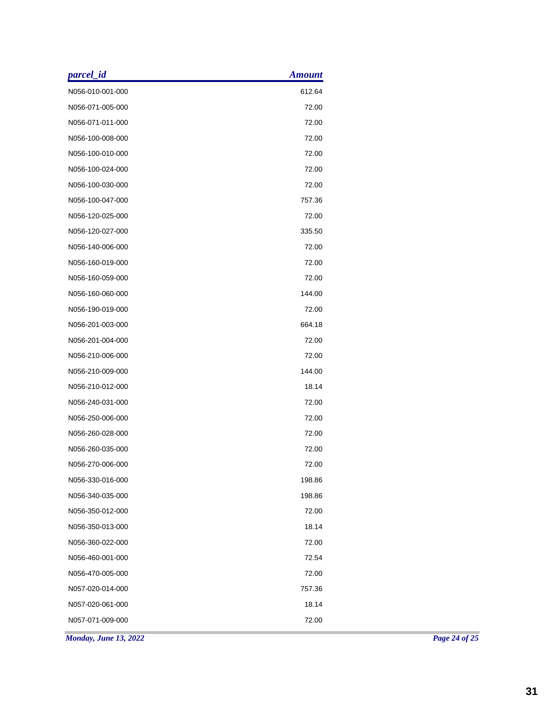| parcel_id             | <b>Amount</b> |
|-----------------------|---------------|
| N056-010-001-000      | 612.64        |
| N056-071-005-000      | 72.00         |
| N056-071-011-000      | 72.00         |
| N056-100-008-000      | 72.00         |
| N056-100-010-000      | 72.00         |
| N056-100-024-000      | 72.00         |
| N056-100-030-000      | 72.00         |
| N056-100-047-000      | 757.36        |
| N056-120-025-000      | 72.00         |
| N056-120-027-000      | 335.50        |
| N056-140-006-000      | 72.00         |
| N056-160-019-000      | 72.00         |
| N056-160-059-000      | 72.00         |
| N056-160-060-000      | 144.00        |
| N056-190-019-000      | 72.00         |
| N056-201-003-000      | 664.18        |
| N056-201-004-000      | 72.00         |
| N056-210-006-000      | 72.00         |
| N056-210-009-000      | 144.00        |
| N056-210-012-000      | 18.14         |
| N056-240-031-000      | 72.00         |
| N056-250-006-000      | 72.00         |
| N056-260-028-000      | 72.00         |
| N056-260-035-000      | 72.00         |
| N056-270-006-000      | 72.00         |
| N056-330-016-000      | 198.86        |
| N056-340-035-000      | 198.86        |
| N056-350-012-000      | 72.00         |
| N056-350-013-000      | 18.14         |
| N056-360-022-000      | 72.00         |
| N056-460-001-000      | 72.54         |
| N056-470-005-000      | 72.00         |
| N057-020-014-000      | 757.36        |
| N057-020-061-000      | 18.14         |
| N057-071-009-000      | 72.00         |
| Monday, June 13, 2022 |               |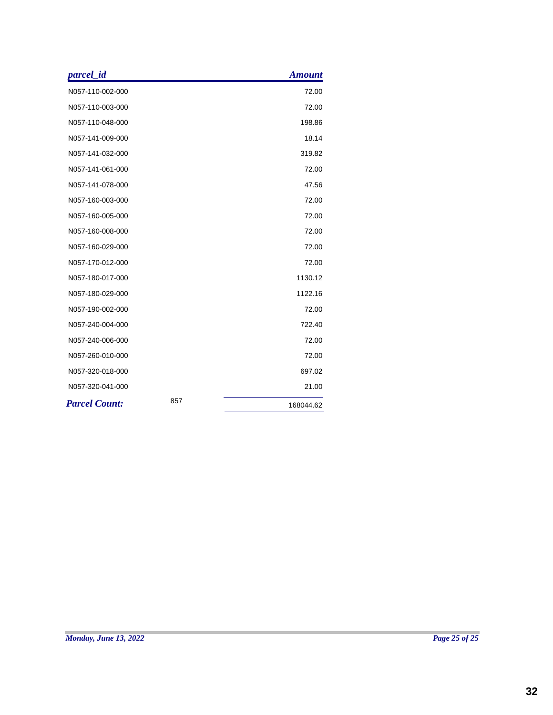| parcel_id            |     | <b>Amount</b> |
|----------------------|-----|---------------|
| N057-110-002-000     |     | 72.00         |
| N057-110-003-000     |     | 72.00         |
| N057-110-048-000     |     | 198.86        |
| N057-141-009-000     |     | 18.14         |
| N057-141-032-000     |     | 319.82        |
| N057-141-061-000     |     | 72.00         |
| N057-141-078-000     |     | 47.56         |
| N057-160-003-000     |     | 72.00         |
| N057-160-005-000     |     | 72.00         |
| N057-160-008-000     |     | 72.00         |
| N057-160-029-000     |     | 72.00         |
| N057-170-012-000     |     | 72.00         |
| N057-180-017-000     |     | 1130.12       |
| N057-180-029-000     |     | 1122.16       |
| N057-190-002-000     |     | 72.00         |
| N057-240-004-000     |     | 722.40        |
| N057-240-006-000     |     | 72.00         |
| N057-260-010-000     |     | 72.00         |
| N057-320-018-000     |     | 697.02        |
| N057-320-041-000     |     | 21.00         |
| <b>Parcel Count:</b> | 857 | 168044.62     |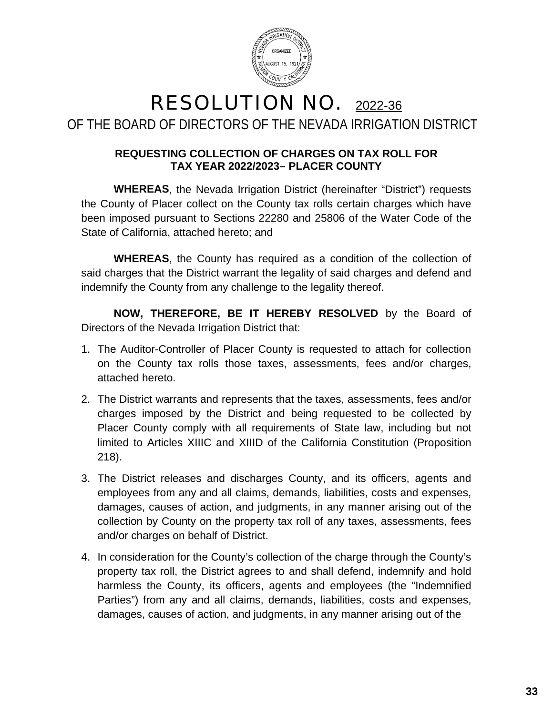

### RESOLUTION NO. 2022-36 OF THE BOARD OF DIRECTORS OF THE NEVADA IRRIGATION DISTRICT

### **REQUESTING COLLECTION OF CHARGES ON TAX ROLL FOR TAX YEAR 2022/2023– PLACER COUNTY**

**WHEREAS**, the Nevada Irrigation District (hereinafter "District") requests the County of Placer collect on the County tax rolls certain charges which have been imposed pursuant to Sections 22280 and 25806 of the Water Code of the State of California, attached hereto; and

**WHEREAS**, the County has required as a condition of the collection of said charges that the District warrant the legality of said charges and defend and indemnify the County from any challenge to the legality thereof.

**NOW, THEREFORE, BE IT HEREBY RESOLVED** by the Board of Directors of the Nevada Irrigation District that:

- 1. The Auditor-Controller of Placer County is requested to attach for collection on the County tax rolls those taxes, assessments, fees and/or charges, attached hereto.
- 2. The District warrants and represents that the taxes, assessments, fees and/or charges imposed by the District and being requested to be collected by Placer County comply with all requirements of State law, including but not limited to Articles XIIIC and XIIID of the California Constitution (Proposition 218).
- 3. The District releases and discharges County, and its officers, agents and employees from any and all claims, demands, liabilities, costs and expenses, damages, causes of action, and judgments, in any manner arising out of the collection by County on the property tax roll of any taxes, assessments, fees and/or charges on behalf of District.
- 4. In consideration for the County's collection of the charge through the County's property tax roll, the District agrees to and shall defend, indemnify and hold harmless the County, its officers, agents and employees (the "Indemnified Parties") from any and all claims, demands, liabilities, costs and expenses, damages, causes of action, and judgments, in any manner arising out of the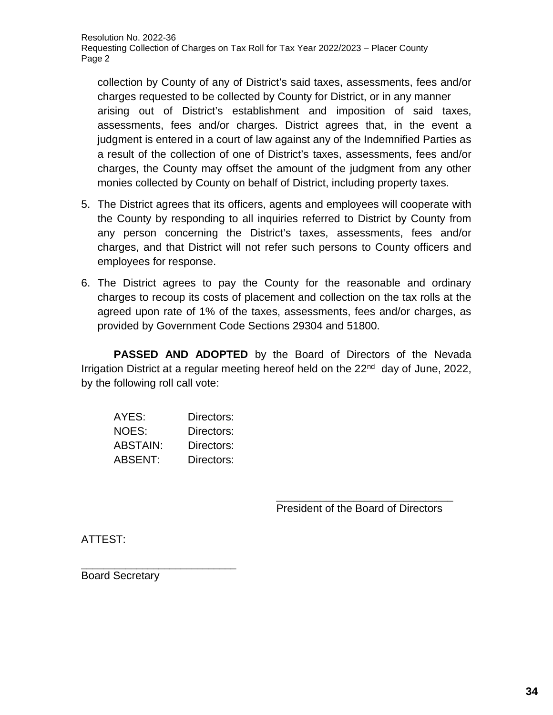collection by County of any of District's said taxes, assessments, fees and/or charges requested to be collected by County for District, or in any manner arising out of District's establishment and imposition of said taxes, assessments, fees and/or charges. District agrees that, in the event a iudament is entered in a court of law against any of the Indemnified Parties as a result of the collection of one of District's taxes, assessments, fees and/or charges, the County may offset the amount of the judgment from any other monies collected by County on behalf of District, including property taxes.

- 5. The District agrees that its officers, agents and employees will cooperate with the County by responding to all inquiries referred to District by County from any person concerning the District's taxes, assessments, fees and/or charges, and that District will not refer such persons to County officers and employees for response.
- 6. The District agrees to pay the County for the reasonable and ordinary charges to recoup its costs of placement and collection on the tax rolls at the agreed upon rate of 1% of the taxes, assessments, fees and/or charges, as provided by Government Code Sections 29304 and 51800.

**PASSED AND ADOPTED** by the Board of Directors of the Nevada Irrigation District at a regular meeting hereof held on the  $22<sup>nd</sup>$  day of June, 2022, by the following roll call vote:

| AYES:    | Directors: |
|----------|------------|
| NOES:    | Directors: |
| ABSTAIN: | Directors: |
| ABSENT:  | Directors: |

\_\_\_\_\_\_\_\_\_\_\_\_\_\_\_\_\_\_\_\_\_\_\_\_\_\_\_\_\_\_\_\_ President of the Board of Directors

ATTEST:

Board Secretary

\_\_\_\_\_\_\_\_\_\_\_\_\_\_\_\_\_\_\_\_\_\_\_\_\_\_\_\_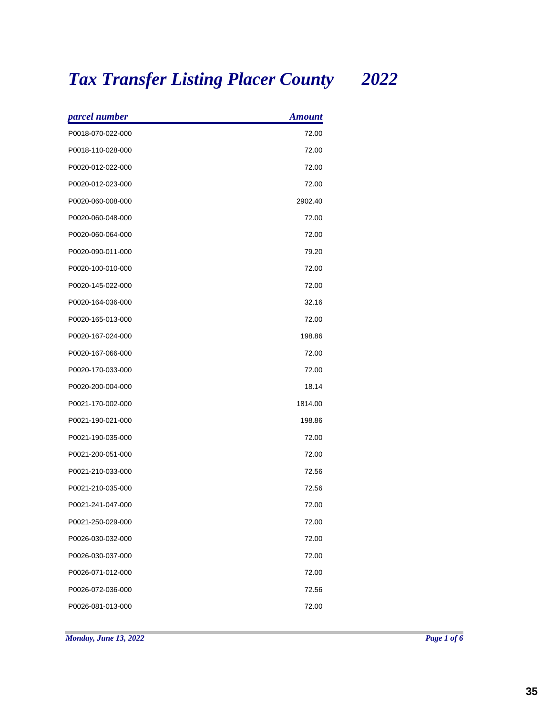# *Tax Transfer Listing Placer County 2022*

| parcel number     | <b>Amount</b> |
|-------------------|---------------|
| P0018-070-022-000 | 72.00         |
| P0018-110-028-000 | 72.00         |
| P0020-012-022-000 | 72.00         |
| P0020-012-023-000 | 72.00         |
| P0020-060-008-000 | 2902.40       |
| P0020-060-048-000 | 72.00         |
| P0020-060-064-000 | 72.00         |
| P0020-090-011-000 | 79.20         |
| P0020-100-010-000 | 72.00         |
| P0020-145-022-000 | 72.00         |
| P0020-164-036-000 | 32.16         |
| P0020-165-013-000 | 72.00         |
| P0020-167-024-000 | 198.86        |
| P0020-167-066-000 | 72.00         |
| P0020-170-033-000 | 72.00         |
| P0020-200-004-000 | 18.14         |
| P0021-170-002-000 | 1814.00       |
| P0021-190-021-000 | 198.86        |
| P0021-190-035-000 | 72.00         |
| P0021-200-051-000 | 72.00         |
| P0021-210-033-000 | 72.56         |
| P0021-210-035-000 | 72.56         |
| P0021-241-047-000 | 72.00         |
| P0021-250-029-000 | 72.00         |
| P0026-030-032-000 | 72.00         |
| P0026-030-037-000 | 72.00         |
| P0026-071-012-000 | 72.00         |
| P0026-072-036-000 | 72.56         |
| P0026-081-013-000 | 72.00         |

*Monday, June 13, 2022 Page 1 of 6*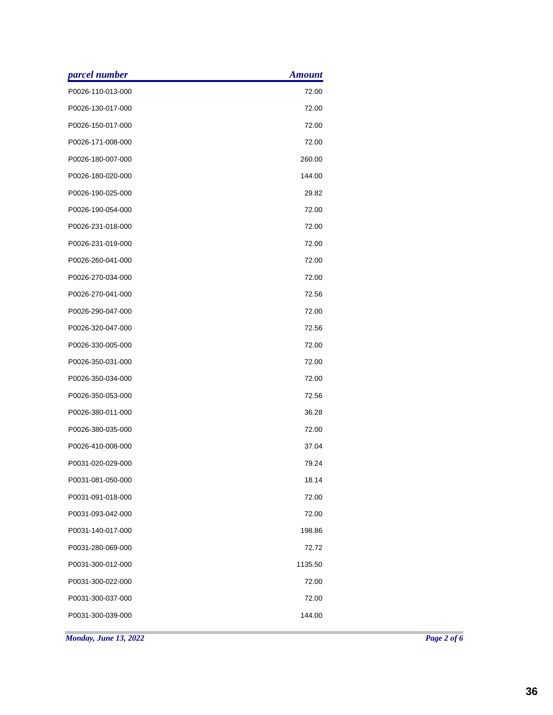| parcel number     | <b>Amount</b> |
|-------------------|---------------|
| P0026-110-013-000 | 72.00         |
| P0026-130-017-000 | 72.00         |
| P0026-150-017-000 | 72.00         |
| P0026-171-008-000 | 72.00         |
| P0026-180-007-000 | 260.00        |
| P0026-180-020-000 | 144.00        |
| P0026-190-025-000 | 29.82         |
| P0026-190-054-000 | 72.00         |
| P0026-231-018-000 | 72.00         |
| P0026-231-019-000 | 72.00         |
| P0026-260-041-000 | 72.00         |
| P0026-270-034-000 | 72.00         |
| P0026-270-041-000 | 72.56         |
| P0026-290-047-000 | 72.00         |
| P0026-320-047-000 | 72.56         |
| P0026-330-005-000 | 72.00         |
| P0026-350-031-000 | 72.00         |
| P0026-350-034-000 | 72.00         |
| P0026-350-053-000 | 72.56         |
| P0026-380-011-000 | 36.28         |
| P0026-380-035-000 | 72.00         |
| P0026-410-008-000 | 37.04         |
| P0031-020-029-000 | 79.24         |
| P0031-081-050-000 | 18.14         |
| P0031-091-018-000 | 72.00         |
| P0031-093-042-000 | 72.00         |
| P0031-140-017-000 | 198.86        |
| P0031-280-069-000 | 72.72         |
| P0031-300-012-000 | 1135.50       |
| P0031-300-022-000 | 72.00         |
| P0031-300-037-000 | 72.00         |
| P0031-300-039-000 | 144.00        |
|                   |               |

*Monday, June 13, 2022 Page 2 of 6*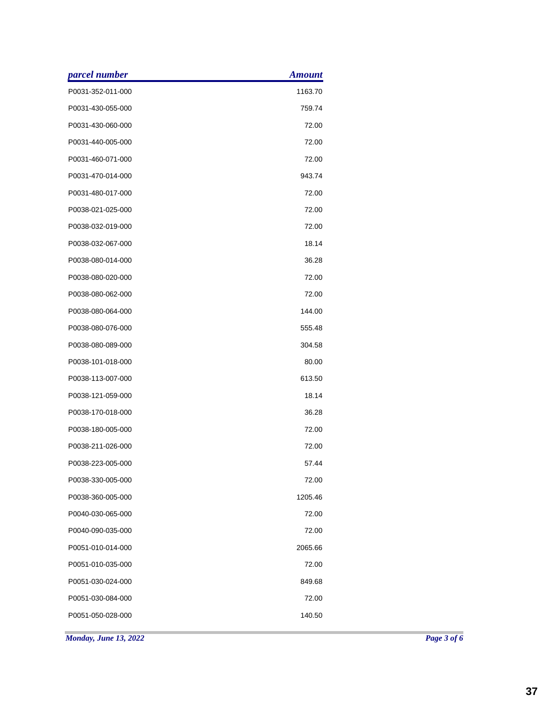| parcel number     | <b>Amount</b> |
|-------------------|---------------|
| P0031-352-011-000 | 1163.70       |
| P0031-430-055-000 | 759.74        |
| P0031-430-060-000 | 72.00         |
| P0031-440-005-000 | 72.00         |
| P0031-460-071-000 | 72.00         |
| P0031-470-014-000 | 943.74        |
| P0031-480-017-000 | 72.00         |
| P0038-021-025-000 | 72.00         |
| P0038-032-019-000 | 72.00         |
| P0038-032-067-000 | 18.14         |
| P0038-080-014-000 | 36.28         |
| P0038-080-020-000 | 72.00         |
| P0038-080-062-000 | 72.00         |
| P0038-080-064-000 | 144.00        |
| P0038-080-076-000 | 555.48        |
| P0038-080-089-000 | 304.58        |
| P0038-101-018-000 | 80.00         |
| P0038-113-007-000 | 613.50        |
| P0038-121-059-000 | 18.14         |
| P0038-170-018-000 | 36.28         |
| P0038-180-005-000 | 72.00         |
| P0038-211-026-000 | 72.00         |
| P0038-223-005-000 | 57.44         |
| P0038-330-005-000 | 72.00         |
| P0038-360-005-000 | 1205.46       |
| P0040-030-065-000 | 72.00         |
| P0040-090-035-000 | 72.00         |
| P0051-010-014-000 | 2065.66       |
| P0051-010-035-000 | 72.00         |
| P0051-030-024-000 | 849.68        |
| P0051-030-084-000 | 72.00         |
| P0051-050-028-000 | 140.50        |
|                   |               |

*Monday, June 13, 2022 Page 3 of 6*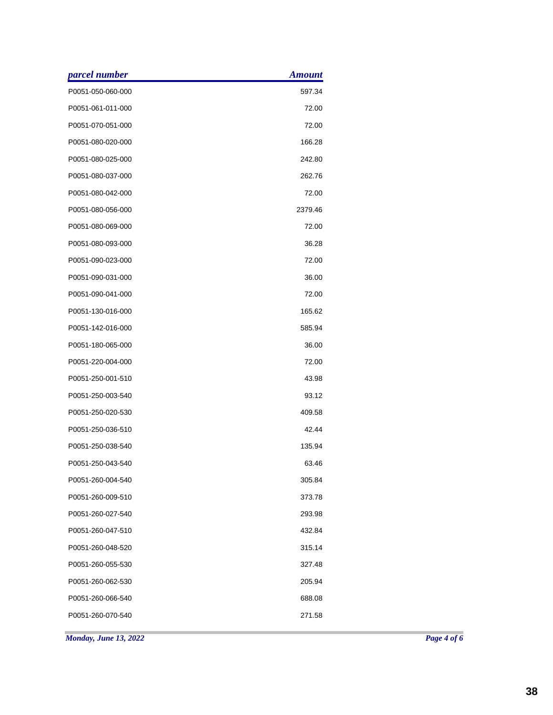| parcel number     | <b>Amount</b> |
|-------------------|---------------|
| P0051-050-060-000 | 597.34        |
| P0051-061-011-000 | 72.00         |
| P0051-070-051-000 | 72.00         |
| P0051-080-020-000 | 166.28        |
| P0051-080-025-000 | 242.80        |
| P0051-080-037-000 | 262.76        |
| P0051-080-042-000 | 72.00         |
| P0051-080-056-000 | 2379.46       |
| P0051-080-069-000 | 72.00         |
| P0051-080-093-000 | 36.28         |
| P0051-090-023-000 | 72.00         |
| P0051-090-031-000 | 36.00         |
| P0051-090-041-000 | 72.00         |
| P0051-130-016-000 | 165.62        |
| P0051-142-016-000 | 585.94        |
| P0051-180-065-000 | 36.00         |
| P0051-220-004-000 | 72.00         |
| P0051-250-001-510 | 43.98         |
| P0051-250-003-540 | 93.12         |
| P0051-250-020-530 | 409.58        |
| P0051-250-036-510 | 42.44         |
| P0051-250-038-540 | 135.94        |
| P0051-250-043-540 | 63.46         |
| P0051-260-004-540 | 305.84        |
| P0051-260-009-510 | 373.78        |
| P0051-260-027-540 | 293.98        |
| P0051-260-047-510 | 432.84        |
| P0051-260-048-520 | 315.14        |
| P0051-260-055-530 | 327.48        |
| P0051-260-062-530 | 205.94        |
| P0051-260-066-540 | 688.08        |
| P0051-260-070-540 | 271.58        |
|                   |               |

*Monday, June 13, 2022 Page 4 of 6*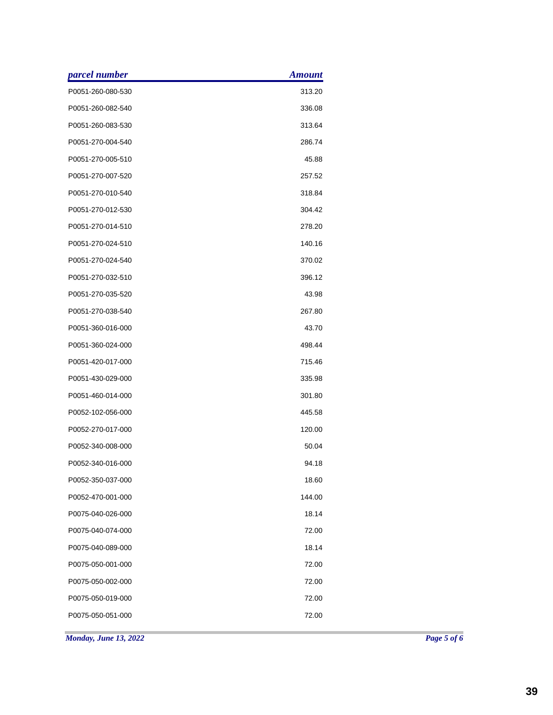| parcel number     | <b>Amount</b> |
|-------------------|---------------|
| P0051-260-080-530 | 313.20        |
| P0051-260-082-540 | 336.08        |
| P0051-260-083-530 | 313.64        |
| P0051-270-004-540 | 286.74        |
| P0051-270-005-510 | 45.88         |
| P0051-270-007-520 | 257.52        |
| P0051-270-010-540 | 318.84        |
| P0051-270-012-530 | 304.42        |
| P0051-270-014-510 | 278.20        |
| P0051-270-024-510 | 140.16        |
| P0051-270-024-540 | 370.02        |
| P0051-270-032-510 | 396.12        |
| P0051-270-035-520 | 43.98         |
| P0051-270-038-540 | 267.80        |
| P0051-360-016-000 | 43.70         |
| P0051-360-024-000 | 498.44        |
| P0051-420-017-000 | 715.46        |
| P0051-430-029-000 | 335.98        |
| P0051-460-014-000 | 301.80        |
| P0052-102-056-000 | 445.58        |
| P0052-270-017-000 | 120.00        |
| P0052-340-008-000 | 50.04         |
| P0052-340-016-000 | 94.18         |
| P0052-350-037-000 | 18.60         |
| P0052-470-001-000 | 144.00        |
| P0075-040-026-000 | 18.14         |
| P0075-040-074-000 | 72.00         |
| P0075-040-089-000 | 18.14         |
| P0075-050-001-000 | 72.00         |
| P0075-050-002-000 | 72.00         |
| P0075-050-019-000 | 72.00         |
| P0075-050-051-000 | 72.00         |
|                   |               |

*Monday, June 13, 2022 Page 5 of 6*